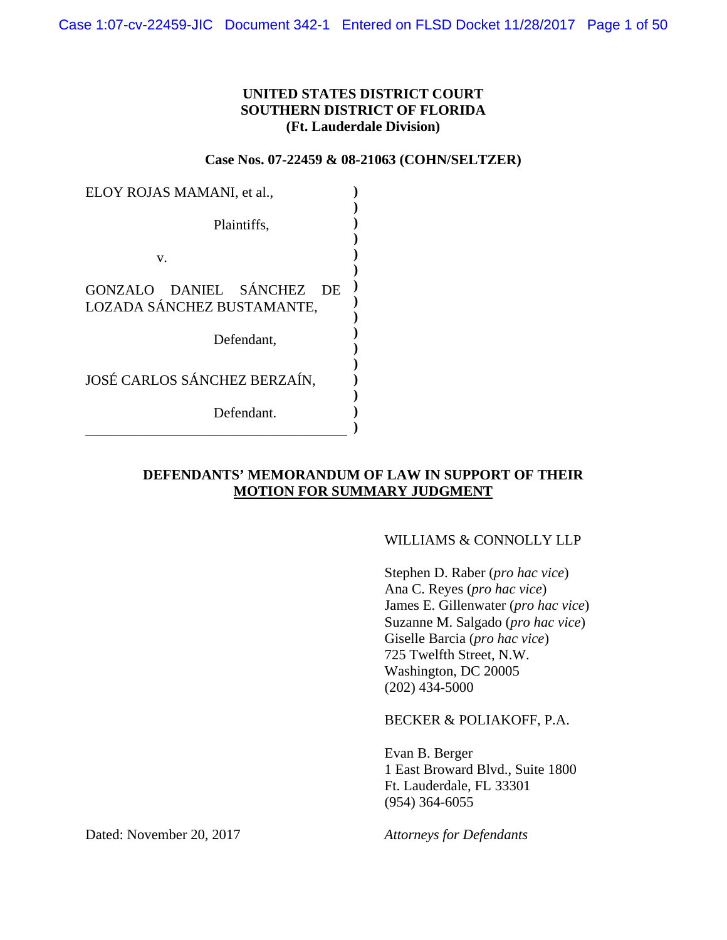### **UNITED STATES DISTRICT COURT SOUTHERN DISTRICT OF FLORIDA (Ft. Lauderdale Division)**

**Case Nos. 07-22459 & 08-21063 (COHN/SELTZER)**

| ELOY ROJAS MAMANI, et al.,          |  |
|-------------------------------------|--|
|                                     |  |
| Plaintiffs,                         |  |
|                                     |  |
| v.                                  |  |
|                                     |  |
| GONZALO DANIEL SÁNCHEZ<br><b>DE</b> |  |
| LOZADA SÁNCHEZ BUSTAMANTE,          |  |
|                                     |  |
| Defendant,                          |  |
|                                     |  |
| JOSÉ CARLOS SÁNCHEZ BERZAÍN.        |  |
|                                     |  |
|                                     |  |
| Defendant.                          |  |
|                                     |  |

## **DEFENDANTS' MEMORANDUM OF LAW IN SUPPORT OF THEIR MOTION FOR SUMMARY JUDGMENT**

### WILLIAMS & CONNOLLY LLP

Stephen D. Raber (*pro hac vice*) Ana C. Reyes (*pro hac vice*) James E. Gillenwater (*pro hac vice*) Suzanne M. Salgado (*pro hac vice*) Giselle Barcia (*pro hac vice*) 725 Twelfth Street, N.W. Washington, DC 20005 (202) 434-5000

BECKER & POLIAKOFF, P.A.

Evan B. Berger 1 East Broward Blvd., Suite 1800 Ft. Lauderdale, FL 33301 (954) 364-6055

Dated: November 20, 2017 *Attorneys for Defendants*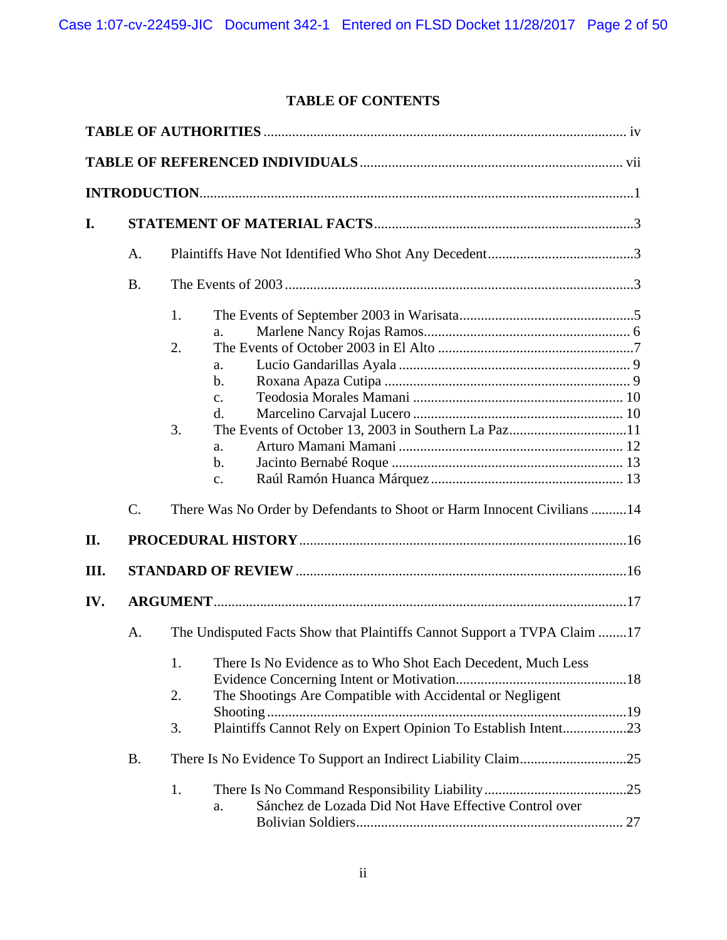# **TABLE OF CONTENTS**

| I.   |                 |                                                                                                                                                                                                                                                                                           |
|------|-----------------|-------------------------------------------------------------------------------------------------------------------------------------------------------------------------------------------------------------------------------------------------------------------------------------------|
|      | A.              |                                                                                                                                                                                                                                                                                           |
|      | <b>B.</b>       |                                                                                                                                                                                                                                                                                           |
|      |                 | 1.<br>a.<br>2.<br>a.<br>$\mathbf b$ .<br>$\mathbf{c}$ .<br>d.<br>3.<br>a.<br>$\mathbf b$ .<br>c.                                                                                                                                                                                          |
|      | $\mathcal{C}$ . | There Was No Order by Defendants to Shoot or Harm Innocent Civilians 14                                                                                                                                                                                                                   |
| II.  |                 |                                                                                                                                                                                                                                                                                           |
| III. |                 |                                                                                                                                                                                                                                                                                           |
| IV.  |                 |                                                                                                                                                                                                                                                                                           |
|      | A.              | The Undisputed Facts Show that Plaintiffs Cannot Support a TVPA Claim 17<br>1.<br>There Is No Evidence as to Who Shot Each Decedent, Much Less<br>The Shootings Are Compatible with Accidental or Negligent<br>2.<br>Plaintiffs Cannot Rely on Expert Opinion To Establish Intent23<br>3. |
|      | <b>B.</b>       |                                                                                                                                                                                                                                                                                           |
|      |                 | 1.<br>Sánchez de Lozada Did Not Have Effective Control over<br>a.                                                                                                                                                                                                                         |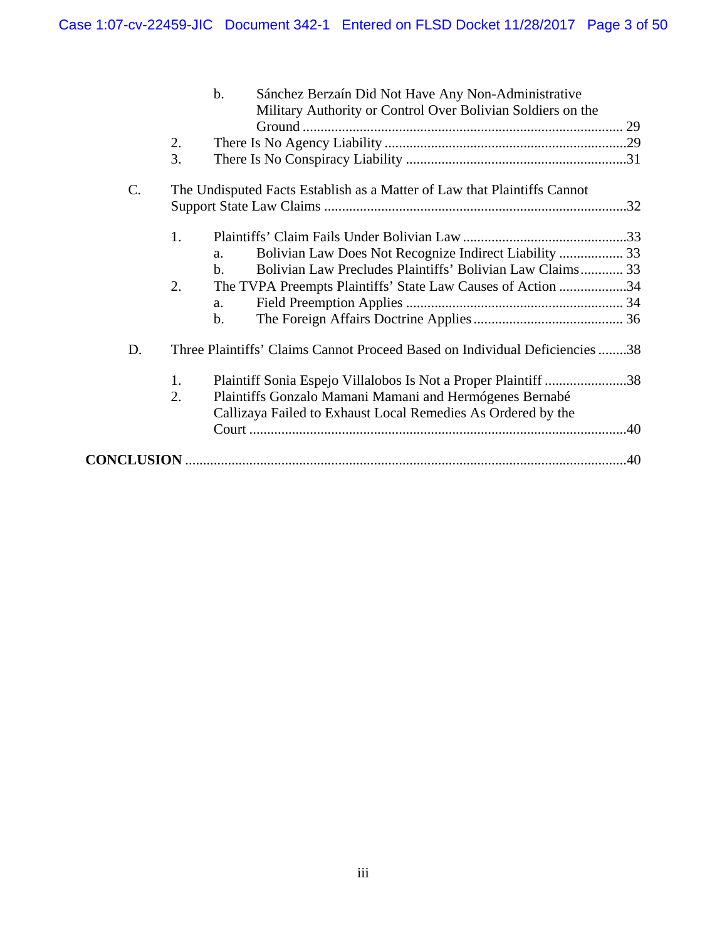|    |    | $\mathbf{b}$ .<br>Sánchez Berzaín Did Not Have Any Non-Administrative<br>Military Authority or Control Over Bolivian Soldiers on the |  |
|----|----|--------------------------------------------------------------------------------------------------------------------------------------|--|
|    | 2. |                                                                                                                                      |  |
|    | 3. |                                                                                                                                      |  |
| C. |    | The Undisputed Facts Establish as a Matter of Law that Plaintiffs Cannot                                                             |  |
|    |    |                                                                                                                                      |  |
|    | 1. |                                                                                                                                      |  |
|    |    | a.                                                                                                                                   |  |
|    |    | Bolivian Law Precludes Plaintiffs' Bolivian Law Claims 33<br>$b$ .                                                                   |  |
|    | 2. | The TVPA Preempts Plaintiffs' State Law Causes of Action 34                                                                          |  |
|    |    | a.                                                                                                                                   |  |
|    |    | $\mathbf{b}$ .                                                                                                                       |  |
| D. |    | Three Plaintiffs' Claims Cannot Proceed Based on Individual Deficiencies 38                                                          |  |
|    | 1. | Plaintiff Sonia Espejo Villalobos Is Not a Proper Plaintiff 38                                                                       |  |
|    | 2. | Plaintiffs Gonzalo Mamani Mamani and Hermógenes Bernabé                                                                              |  |
|    |    | Callizaya Failed to Exhaust Local Remedies As Ordered by the                                                                         |  |
|    |    |                                                                                                                                      |  |
|    |    |                                                                                                                                      |  |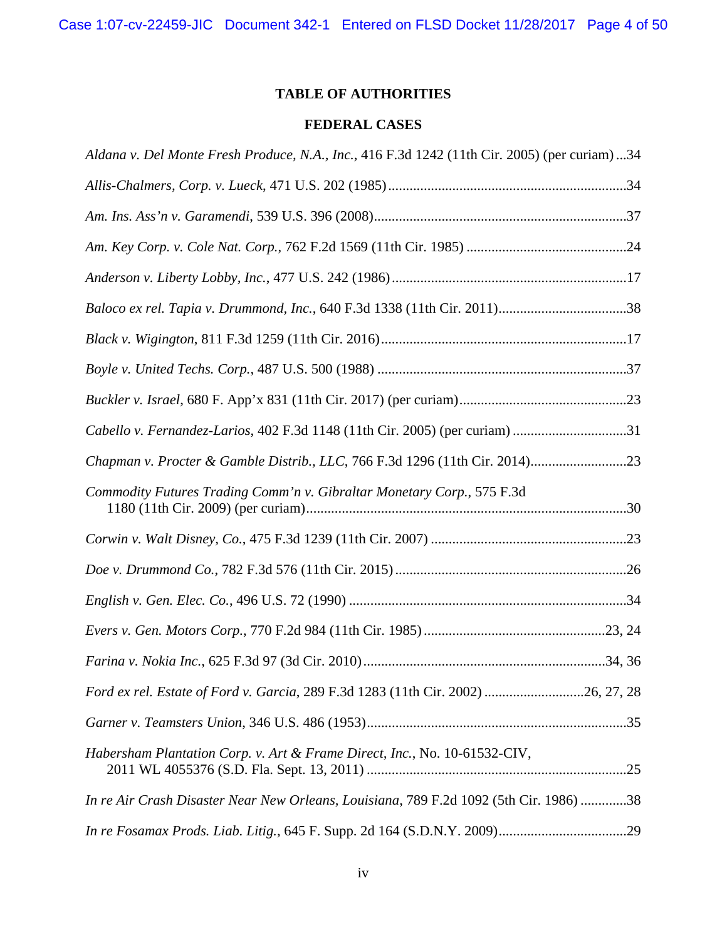# **TABLE OF AUTHORITIES**

# **FEDERAL CASES**

| Aldana v. Del Monte Fresh Produce, N.A., Inc., 416 F.3d 1242 (11th Cir. 2005) (per curiam) 34 |  |
|-----------------------------------------------------------------------------------------------|--|
|                                                                                               |  |
|                                                                                               |  |
|                                                                                               |  |
|                                                                                               |  |
|                                                                                               |  |
|                                                                                               |  |
|                                                                                               |  |
|                                                                                               |  |
| Cabello v. Fernandez-Larios, 402 F.3d 1148 (11th Cir. 2005) (per curiam) 31                   |  |
|                                                                                               |  |
| Commodity Futures Trading Comm'n v. Gibraltar Monetary Corp., 575 F.3d                        |  |
|                                                                                               |  |
|                                                                                               |  |
|                                                                                               |  |
|                                                                                               |  |
|                                                                                               |  |
| Ford ex rel. Estate of Ford v. Garcia, 289 F.3d 1283 (11th Cir. 2002) 26, 27, 28              |  |
|                                                                                               |  |
| Habersham Plantation Corp. v. Art & Frame Direct, Inc., No. 10-61532-CIV,                     |  |
| In re Air Crash Disaster Near New Orleans, Louisiana, 789 F.2d 1092 (5th Cir. 1986) 38        |  |
|                                                                                               |  |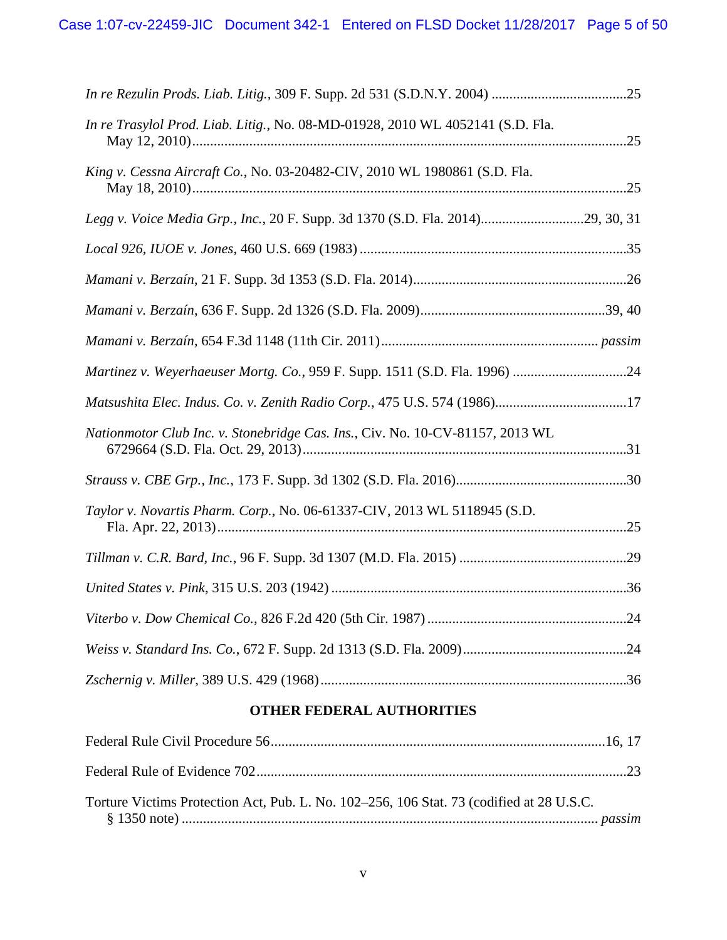| In re Trasylol Prod. Liab. Litig., No. 08-MD-01928, 2010 WL 4052141 (S.D. Fla. |  |
|--------------------------------------------------------------------------------|--|
| King v. Cessna Aircraft Co., No. 03-20482-CIV, 2010 WL 1980861 (S.D. Fla.      |  |
| Legg v. Voice Media Grp., Inc., 20 F. Supp. 3d 1370 (S.D. Fla. 2014)29, 30, 31 |  |
|                                                                                |  |
|                                                                                |  |
|                                                                                |  |
|                                                                                |  |
| Martinez v. Weyerhaeuser Mortg. Co., 959 F. Supp. 1511 (S.D. Fla. 1996) 24     |  |
| Matsushita Elec. Indus. Co. v. Zenith Radio Corp., 475 U.S. 574 (1986)17       |  |
| Nationmotor Club Inc. v. Stonebridge Cas. Ins., Civ. No. 10-CV-81157, 2013 WL  |  |
|                                                                                |  |
| Taylor v. Novartis Pharm. Corp., No. 06-61337-CIV, 2013 WL 5118945 (S.D.       |  |
|                                                                                |  |
|                                                                                |  |
|                                                                                |  |
|                                                                                |  |
|                                                                                |  |
|                                                                                |  |

# **OTHER FEDERAL AUTHORITIES**

| Torture Victims Protection Act, Pub. L. No. 102–256, 106 Stat. 73 (codified at 28 U.S.C. |  |
|------------------------------------------------------------------------------------------|--|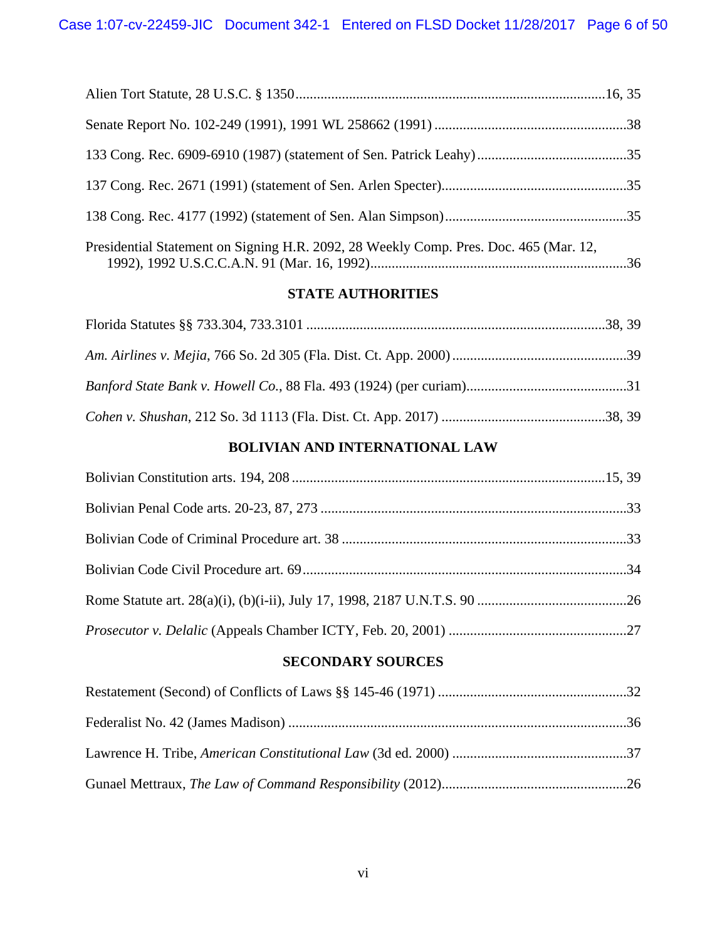| Presidential Statement on Signing H.R. 2092, 28 Weekly Comp. Pres. Doc. 465 (Mar. 12, |  |
|---------------------------------------------------------------------------------------|--|

# **STATE AUTHORITIES**

1992), 1992 U.S.C.C.A.N. 91 (Mar. 16, 1992) ........................................................................36

# **BOLIVIAN AND INTERNATIONAL LAW**

# **SECONDARY SOURCES**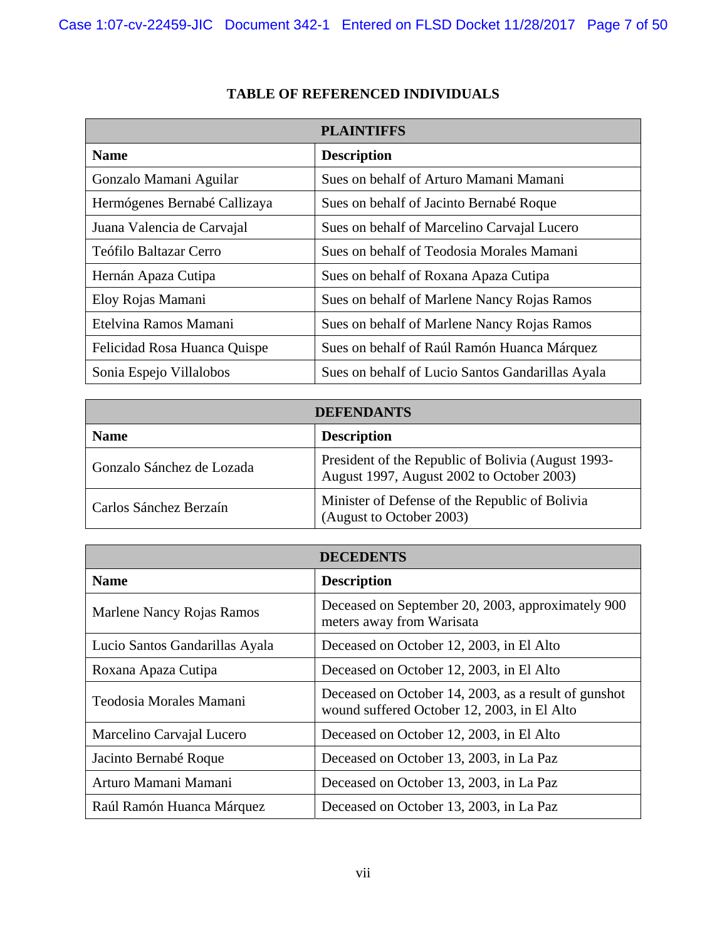|                               | <b>PLAINTIFFS</b>                                |
|-------------------------------|--------------------------------------------------|
| <b>Name</b>                   | <b>Description</b>                               |
| Gonzalo Mamani Aguilar        | Sues on behalf of Arturo Mamani Mamani           |
| Hermógenes Bernabé Callizaya  | Sues on behalf of Jacinto Bernabé Roque          |
| Juana Valencia de Carvajal    | Sues on behalf of Marcelino Carvajal Lucero      |
| <b>Teófilo Baltazar Cerro</b> | Sues on behalf of Teodosia Morales Mamani        |
| Hernán Apaza Cutipa           | Sues on behalf of Roxana Apaza Cutipa            |
| Eloy Rojas Mamani             | Sues on behalf of Marlene Nancy Rojas Ramos      |
| Etelvina Ramos Mamani         | Sues on behalf of Marlene Nancy Rojas Ramos      |
| Felicidad Rosa Huanca Quispe  | Sues on behalf of Raúl Ramón Huanca Márquez      |
| Sonia Espejo Villalobos       | Sues on behalf of Lucio Santos Gandarillas Ayala |

# **TABLE OF REFERENCED INDIVIDUALS**

| <b>DEFENDANTS</b>         |                                                                                                 |
|---------------------------|-------------------------------------------------------------------------------------------------|
| <b>Name</b>               | <b>Description</b>                                                                              |
| Gonzalo Sánchez de Lozada | President of the Republic of Bolivia (August 1993-<br>August 1997, August 2002 to October 2003) |
| Carlos Sánchez Berzaín    | Minister of Defense of the Republic of Bolivia<br>(August to October 2003)                      |

| <b>DECEDENTS</b>               |                                                                                                     |
|--------------------------------|-----------------------------------------------------------------------------------------------------|
| <b>Name</b>                    | <b>Description</b>                                                                                  |
| Marlene Nancy Rojas Ramos      | Deceased on September 20, 2003, approximately 900<br>meters away from Warisata                      |
| Lucio Santos Gandarillas Ayala | Deceased on October 12, 2003, in El Alto                                                            |
| Roxana Apaza Cutipa            | Deceased on October 12, 2003, in El Alto                                                            |
| Teodosia Morales Mamani        | Deceased on October 14, 2003, as a result of gunshot<br>wound suffered October 12, 2003, in El Alto |
| Marcelino Carvajal Lucero      | Deceased on October 12, 2003, in El Alto                                                            |
| Jacinto Bernabé Roque          | Deceased on October 13, 2003, in La Paz                                                             |
| Arturo Mamani Mamani           | Deceased on October 13, 2003, in La Paz                                                             |
| Raúl Ramón Huanca Márquez      | Deceased on October 13, 2003, in La Paz                                                             |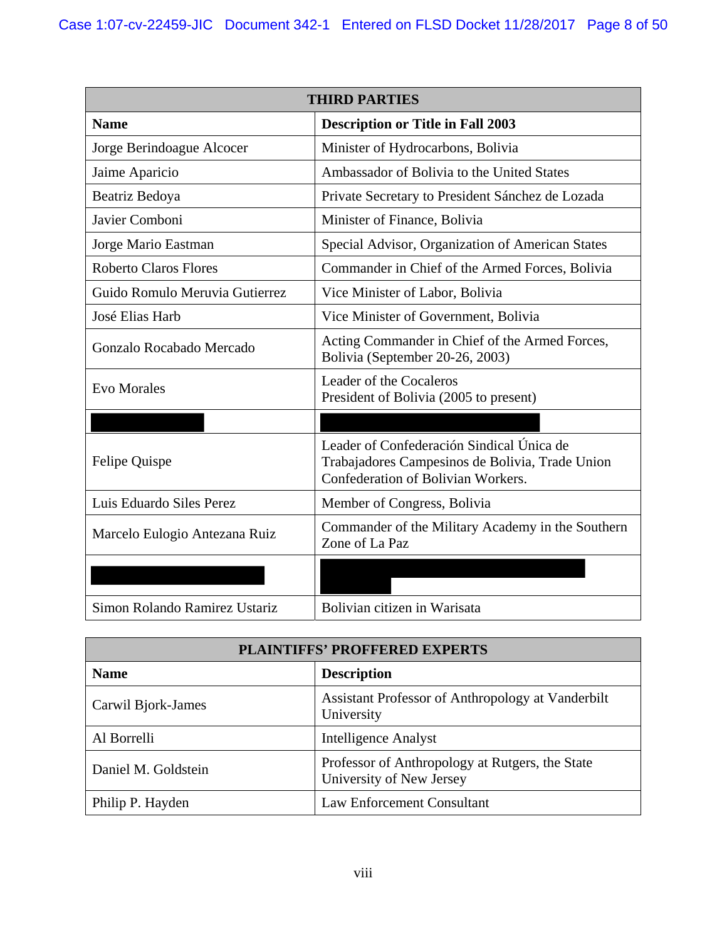| <b>THIRD PARTIES</b>           |                                                                                                                                    |
|--------------------------------|------------------------------------------------------------------------------------------------------------------------------------|
| <b>Name</b>                    | <b>Description or Title in Fall 2003</b>                                                                                           |
| Jorge Berindoague Alcocer      | Minister of Hydrocarbons, Bolivia                                                                                                  |
| Jaime Aparicio                 | Ambassador of Bolivia to the United States                                                                                         |
| Beatriz Bedoya                 | Private Secretary to President Sánchez de Lozada                                                                                   |
| Javier Comboni                 | Minister of Finance, Bolivia                                                                                                       |
| Jorge Mario Eastman            | Special Advisor, Organization of American States                                                                                   |
| <b>Roberto Claros Flores</b>   | Commander in Chief of the Armed Forces, Bolivia                                                                                    |
| Guido Romulo Meruvia Gutierrez | Vice Minister of Labor, Bolivia                                                                                                    |
| José Elias Harb                | Vice Minister of Government, Bolivia                                                                                               |
| Gonzalo Rocabado Mercado       | Acting Commander in Chief of the Armed Forces,<br>Bolivia (September 20-26, 2003)                                                  |
| <b>Evo Morales</b>             | Leader of the Cocaleros<br>President of Bolivia (2005 to present)                                                                  |
|                                |                                                                                                                                    |
| Felipe Quispe                  | Leader of Confederación Sindical Única de<br>Trabajadores Campesinos de Bolivia, Trade Union<br>Confederation of Bolivian Workers. |
| Luis Eduardo Siles Perez       | Member of Congress, Bolivia                                                                                                        |
| Marcelo Eulogio Antezana Ruiz  | Commander of the Military Academy in the Southern<br>Zone of La Paz                                                                |
|                                |                                                                                                                                    |
| Simon Rolando Ramirez Ustariz  | Bolivian citizen in Warisata                                                                                                       |

| <b>PLAINTIFFS' PROFFERED EXPERTS</b> |                                                                             |  |
|--------------------------------------|-----------------------------------------------------------------------------|--|
| <b>Name</b>                          | <b>Description</b>                                                          |  |
| Carwil Bjork-James                   | Assistant Professor of Anthropology at Vanderbilt<br>University             |  |
| Al Borrelli                          | <b>Intelligence Analyst</b>                                                 |  |
| Daniel M. Goldstein                  | Professor of Anthropology at Rutgers, the State<br>University of New Jersey |  |
| Philip P. Hayden                     | <b>Law Enforcement Consultant</b>                                           |  |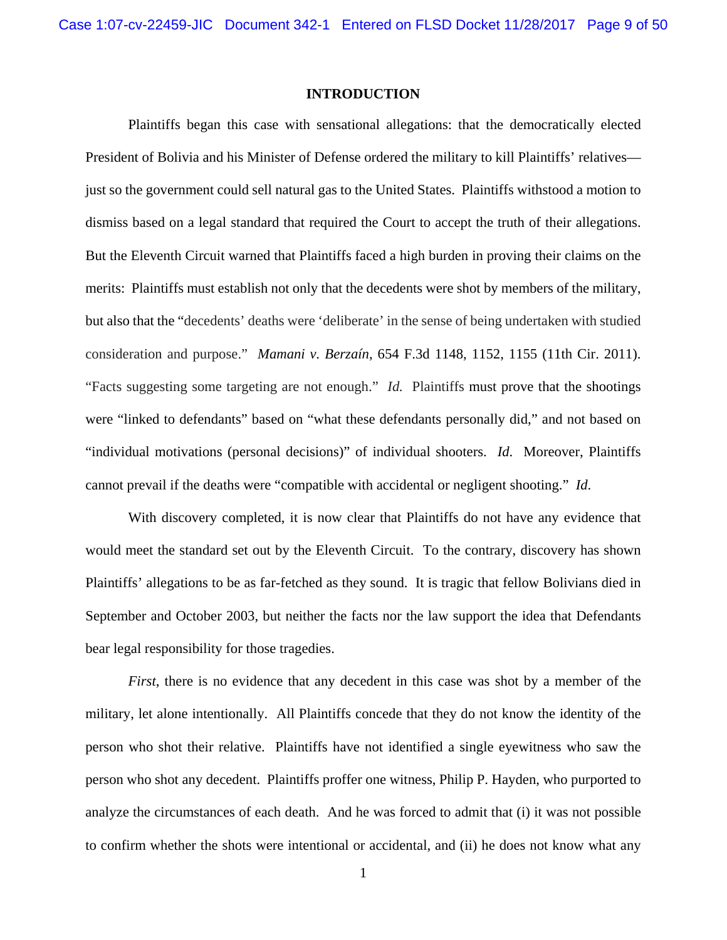### **INTRODUCTION**

Plaintiffs began this case with sensational allegations: that the democratically elected President of Bolivia and his Minister of Defense ordered the military to kill Plaintiffs' relatives just so the government could sell natural gas to the United States. Plaintiffs withstood a motion to dismiss based on a legal standard that required the Court to accept the truth of their allegations. But the Eleventh Circuit warned that Plaintiffs faced a high burden in proving their claims on the merits: Plaintiffs must establish not only that the decedents were shot by members of the military, but also that the "decedents' deaths were 'deliberate' in the sense of being undertaken with studied consideration and purpose." *Mamani v. Berzaín*, 654 F.3d 1148, 1152, 1155 (11th Cir. 2011). "Facts suggesting some targeting are not enough." *Id.* Plaintiffs must prove that the shootings were "linked to defendants" based on "what these defendants personally did," and not based on "individual motivations (personal decisions)" of individual shooters. *Id*. Moreover, Plaintiffs cannot prevail if the deaths were "compatible with accidental or negligent shooting." *Id*.

With discovery completed, it is now clear that Plaintiffs do not have any evidence that would meet the standard set out by the Eleventh Circuit. To the contrary, discovery has shown Plaintiffs' allegations to be as far-fetched as they sound. It is tragic that fellow Bolivians died in September and October 2003, but neither the facts nor the law support the idea that Defendants bear legal responsibility for those tragedies.

*First*, there is no evidence that any decedent in this case was shot by a member of the military, let alone intentionally. All Plaintiffs concede that they do not know the identity of the person who shot their relative. Plaintiffs have not identified a single eyewitness who saw the person who shot any decedent. Plaintiffs proffer one witness, Philip P. Hayden, who purported to analyze the circumstances of each death. And he was forced to admit that (i) it was not possible to confirm whether the shots were intentional or accidental, and (ii) he does not know what any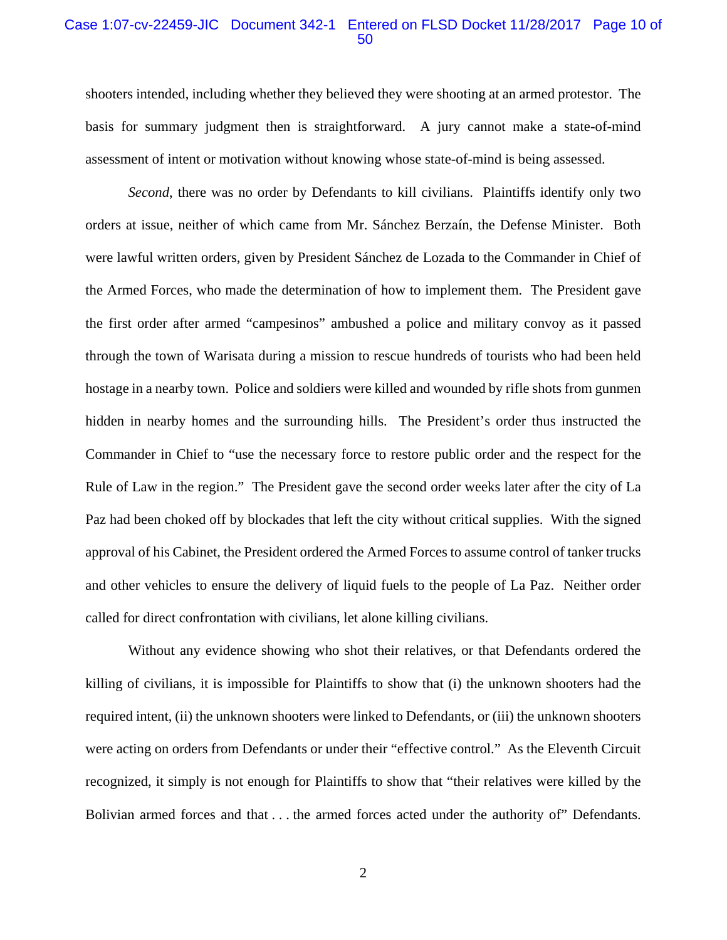### Case 1:07-cv-22459-JIC Document 342-1 Entered on FLSD Docket 11/28/2017 Page 10 of 50

shooters intended, including whether they believed they were shooting at an armed protestor. The basis for summary judgment then is straightforward. A jury cannot make a state-of-mind assessment of intent or motivation without knowing whose state-of-mind is being assessed.

*Second*, there was no order by Defendants to kill civilians. Plaintiffs identify only two orders at issue, neither of which came from Mr. Sánchez Berzaín, the Defense Minister. Both were lawful written orders, given by President Sánchez de Lozada to the Commander in Chief of the Armed Forces, who made the determination of how to implement them. The President gave the first order after armed "campesinos" ambushed a police and military convoy as it passed through the town of Warisata during a mission to rescue hundreds of tourists who had been held hostage in a nearby town. Police and soldiers were killed and wounded by rifle shots from gunmen hidden in nearby homes and the surrounding hills. The President's order thus instructed the Commander in Chief to "use the necessary force to restore public order and the respect for the Rule of Law in the region." The President gave the second order weeks later after the city of La Paz had been choked off by blockades that left the city without critical supplies. With the signed approval of his Cabinet, the President ordered the Armed Forces to assume control of tanker trucks and other vehicles to ensure the delivery of liquid fuels to the people of La Paz. Neither order called for direct confrontation with civilians, let alone killing civilians.

Without any evidence showing who shot their relatives, or that Defendants ordered the killing of civilians, it is impossible for Plaintiffs to show that (i) the unknown shooters had the required intent, (ii) the unknown shooters were linked to Defendants, or (iii) the unknown shooters were acting on orders from Defendants or under their "effective control." As the Eleventh Circuit recognized, it simply is not enough for Plaintiffs to show that "their relatives were killed by the Bolivian armed forces and that . . . the armed forces acted under the authority of" Defendants.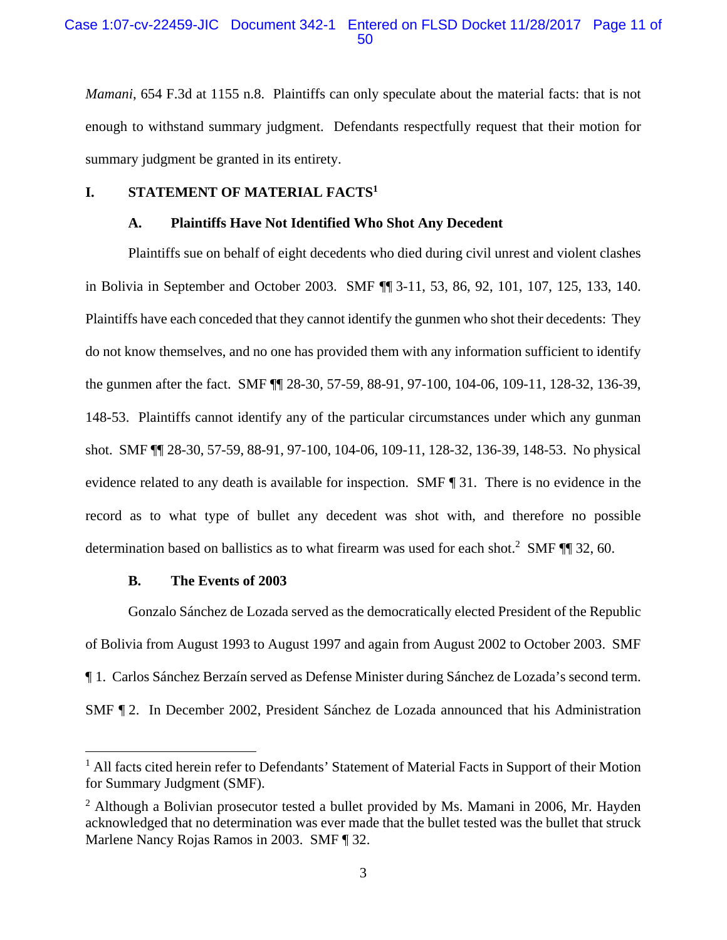### Case 1:07-cv-22459-JIC Document 342-1 Entered on FLSD Docket 11/28/2017 Page 11 of 50

*Mamani*, 654 F.3d at 1155 n.8. Plaintiffs can only speculate about the material facts: that is not enough to withstand summary judgment. Defendants respectfully request that their motion for summary judgment be granted in its entirety.

### **I. STATEMENT OF MATERIAL FACTS1**

### **A. Plaintiffs Have Not Identified Who Shot Any Decedent**

Plaintiffs sue on behalf of eight decedents who died during civil unrest and violent clashes in Bolivia in September and October 2003. SMF ¶¶ 3-11, 53, 86, 92, 101, 107, 125, 133, 140. Plaintiffs have each conceded that they cannot identify the gunmen who shot their decedents: They do not know themselves, and no one has provided them with any information sufficient to identify the gunmen after the fact. SMF ¶¶ 28-30, 57-59, 88-91, 97-100, 104-06, 109-11, 128-32, 136-39, 148-53. Plaintiffs cannot identify any of the particular circumstances under which any gunman shot. SMF ¶¶ 28-30, 57-59, 88-91, 97-100, 104-06, 109-11, 128-32, 136-39, 148-53. No physical evidence related to any death is available for inspection. SMF ¶ 31. There is no evidence in the record as to what type of bullet any decedent was shot with, and therefore no possible determination based on ballistics as to what firearm was used for each shot.<sup>2</sup> SMF  $\P$  32, 60.

### **B. The Events of 2003**

 $\overline{a}$ 

Gonzalo Sánchez de Lozada served as the democratically elected President of the Republic of Bolivia from August 1993 to August 1997 and again from August 2002 to October 2003. SMF ¶ 1. Carlos Sánchez Berzaín served as Defense Minister during Sánchez de Lozada's second term. SMF ¶ 2. In December 2002, President Sánchez de Lozada announced that his Administration

<sup>&</sup>lt;sup>1</sup> All facts cited herein refer to Defendants' Statement of Material Facts in Support of their Motion for Summary Judgment (SMF).

 $2$  Although a Bolivian prosecutor tested a bullet provided by Ms. Mamani in 2006, Mr. Hayden acknowledged that no determination was ever made that the bullet tested was the bullet that struck Marlene Nancy Rojas Ramos in 2003. SMF ¶ 32.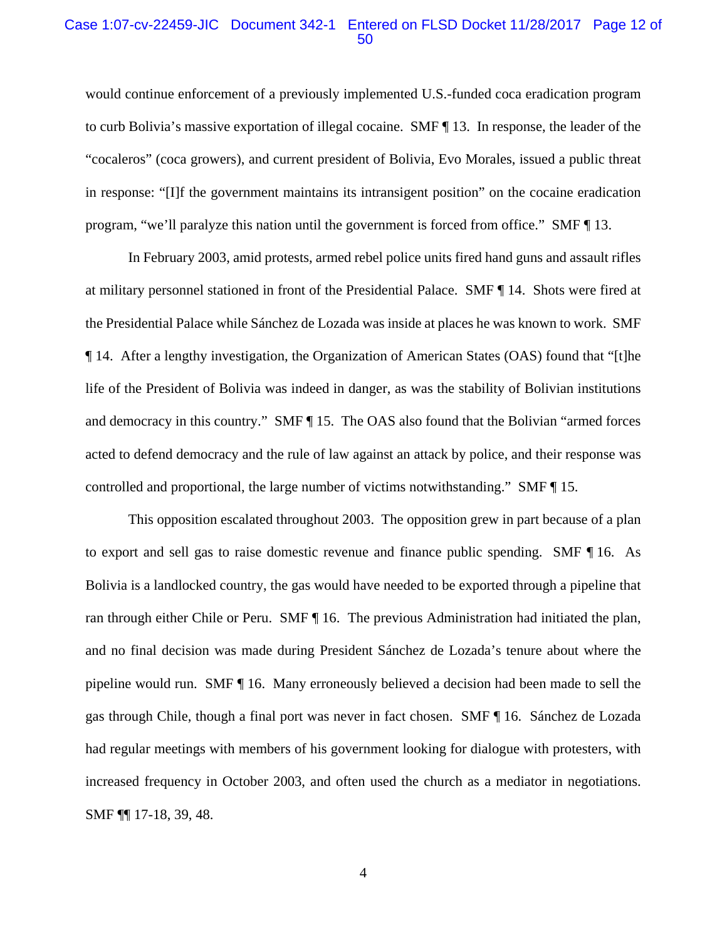#### Case 1:07-cv-22459-JIC Document 342-1 Entered on FLSD Docket 11/28/2017 Page 12 of 50

would continue enforcement of a previously implemented U.S.-funded coca eradication program to curb Bolivia's massive exportation of illegal cocaine. SMF ¶ 13. In response, the leader of the "cocaleros" (coca growers), and current president of Bolivia, Evo Morales, issued a public threat in response: "[I]f the government maintains its intransigent position" on the cocaine eradication program, "we'll paralyze this nation until the government is forced from office." SMF ¶ 13.

In February 2003, amid protests, armed rebel police units fired hand guns and assault rifles at military personnel stationed in front of the Presidential Palace. SMF ¶ 14. Shots were fired at the Presidential Palace while Sánchez de Lozada was inside at places he was known to work. SMF ¶ 14. After a lengthy investigation, the Organization of American States (OAS) found that "[t]he life of the President of Bolivia was indeed in danger, as was the stability of Bolivian institutions and democracy in this country." SMF ¶ 15. The OAS also found that the Bolivian "armed forces acted to defend democracy and the rule of law against an attack by police, and their response was controlled and proportional, the large number of victims notwithstanding." SMF ¶ 15.

This opposition escalated throughout 2003. The opposition grew in part because of a plan to export and sell gas to raise domestic revenue and finance public spending. SMF ¶ 16. As Bolivia is a landlocked country, the gas would have needed to be exported through a pipeline that ran through either Chile or Peru. SMF ¶ 16. The previous Administration had initiated the plan, and no final decision was made during President Sánchez de Lozada's tenure about where the pipeline would run. SMF ¶ 16. Many erroneously believed a decision had been made to sell the gas through Chile, though a final port was never in fact chosen. SMF ¶ 16. Sánchez de Lozada had regular meetings with members of his government looking for dialogue with protesters, with increased frequency in October 2003, and often used the church as a mediator in negotiations. SMF ¶¶ 17-18, 39, 48.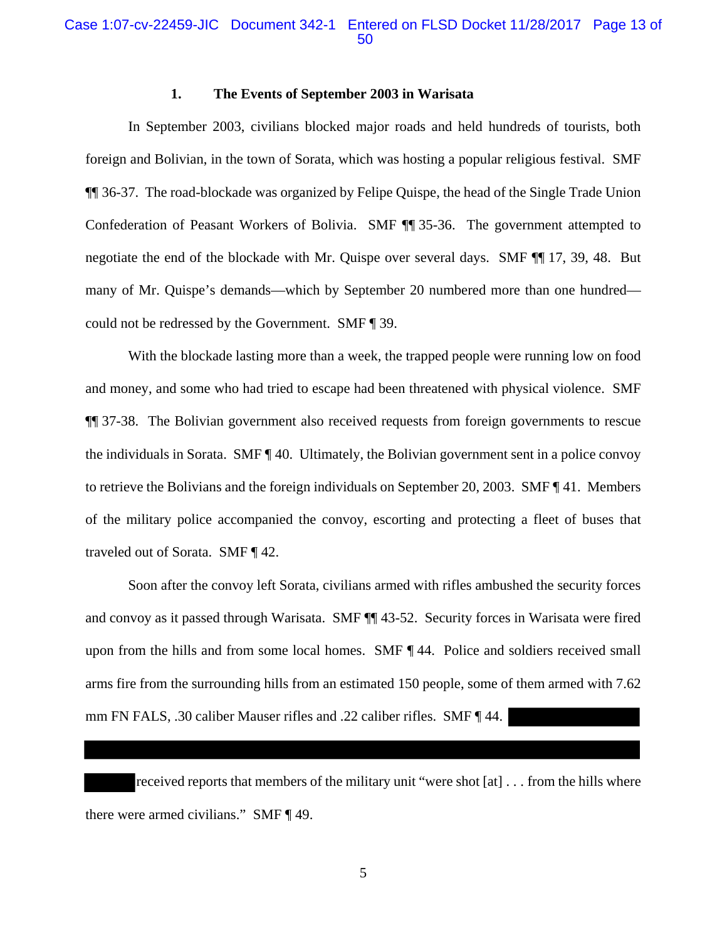### Case 1:07-cv-22459-JIC Document 342-1 Entered on FLSD Docket 11/28/2017 Page 13 of 50

#### **1. The Events of September 2003 in Warisata**

In September 2003, civilians blocked major roads and held hundreds of tourists, both foreign and Bolivian, in the town of Sorata, which was hosting a popular religious festival. SMF ¶¶ 36-37. The road-blockade was organized by Felipe Quispe, the head of the Single Trade Union Confederation of Peasant Workers of Bolivia. SMF ¶¶ 35-36. The government attempted to negotiate the end of the blockade with Mr. Quispe over several days. SMF ¶¶ 17, 39, 48. But many of Mr. Quispe's demands—which by September 20 numbered more than one hundred could not be redressed by the Government. SMF ¶ 39.

With the blockade lasting more than a week, the trapped people were running low on food and money, and some who had tried to escape had been threatened with physical violence. SMF ¶¶ 37-38. The Bolivian government also received requests from foreign governments to rescue the individuals in Sorata. SMF ¶ 40. Ultimately, the Bolivian government sent in a police convoy to retrieve the Bolivians and the foreign individuals on September 20, 2003. SMF ¶ 41. Members of the military police accompanied the convoy, escorting and protecting a fleet of buses that traveled out of Sorata. SMF ¶ 42.

Soon after the convoy left Sorata, civilians armed with rifles ambushed the security forces and convoy as it passed through Warisata. SMF ¶¶ 43-52. Security forces in Warisata were fired upon from the hills and from some local homes. SMF ¶ 44. Police and soldiers received small arms fire from the surrounding hills from an estimated 150 people, some of them armed with 7.62 mm FN FALS, .30 caliber Mauser rifles and .22 caliber rifles. SMF ¶ 44.

received reports that members of the military unit "were shot [at] . . . from the hills where there were armed civilians." SMF ¶ 49.

5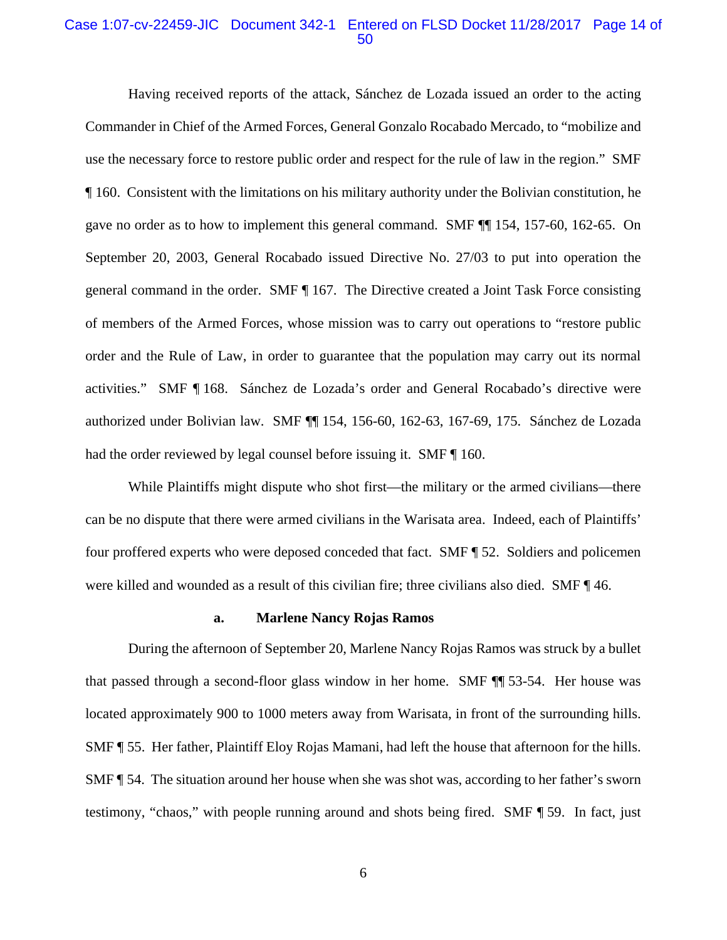### Case 1:07-cv-22459-JIC Document 342-1 Entered on FLSD Docket 11/28/2017 Page 14 of 50

Having received reports of the attack, Sánchez de Lozada issued an order to the acting Commander in Chief of the Armed Forces, General Gonzalo Rocabado Mercado, to "mobilize and use the necessary force to restore public order and respect for the rule of law in the region." SMF ¶ 160. Consistent with the limitations on his military authority under the Bolivian constitution, he gave no order as to how to implement this general command. SMF ¶¶ 154, 157-60, 162-65. On September 20, 2003, General Rocabado issued Directive No. 27/03 to put into operation the general command in the order. SMF ¶ 167. The Directive created a Joint Task Force consisting of members of the Armed Forces, whose mission was to carry out operations to "restore public order and the Rule of Law, in order to guarantee that the population may carry out its normal activities." SMF ¶ 168. Sánchez de Lozada's order and General Rocabado's directive were authorized under Bolivian law. SMF ¶¶ 154, 156-60, 162-63, 167-69, 175. Sánchez de Lozada had the order reviewed by legal counsel before issuing it. SMF  $\P$  160.

While Plaintiffs might dispute who shot first—the military or the armed civilians—there can be no dispute that there were armed civilians in the Warisata area. Indeed, each of Plaintiffs' four proffered experts who were deposed conceded that fact. SMF ¶ 52. Soldiers and policemen were killed and wounded as a result of this civilian fire; three civilians also died. SMF ¶ 46.

#### **a. Marlene Nancy Rojas Ramos**

During the afternoon of September 20, Marlene Nancy Rojas Ramos was struck by a bullet that passed through a second-floor glass window in her home. SMF ¶¶ 53-54. Her house was located approximately 900 to 1000 meters away from Warisata, in front of the surrounding hills. SMF ¶ 55. Her father, Plaintiff Eloy Rojas Mamani, had left the house that afternoon for the hills. SMF ¶ 54. The situation around her house when she was shot was, according to her father's sworn testimony, "chaos," with people running around and shots being fired. SMF ¶ 59. In fact, just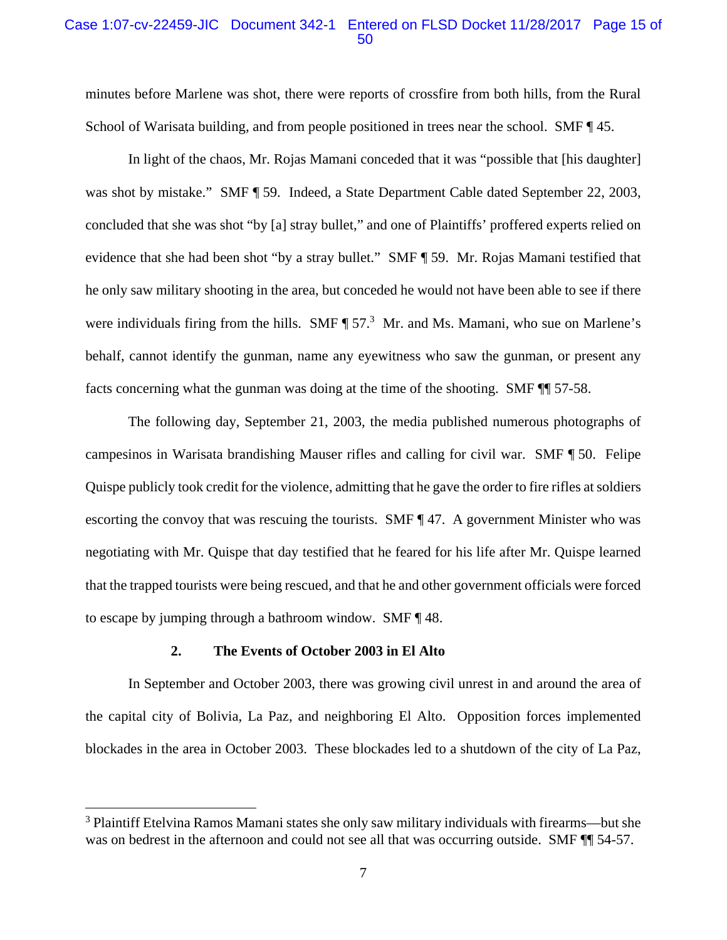### Case 1:07-cv-22459-JIC Document 342-1 Entered on FLSD Docket 11/28/2017 Page 15 of 50

minutes before Marlene was shot, there were reports of crossfire from both hills, from the Rural School of Warisata building, and from people positioned in trees near the school. SMF  $\P$  45.

In light of the chaos, Mr. Rojas Mamani conceded that it was "possible that [his daughter] was shot by mistake." SMF ¶ 59. Indeed, a State Department Cable dated September 22, 2003, concluded that she was shot "by [a] stray bullet," and one of Plaintiffs' proffered experts relied on evidence that she had been shot "by a stray bullet." SMF ¶ 59. Mr. Rojas Mamani testified that he only saw military shooting in the area, but conceded he would not have been able to see if there were individuals firing from the hills. SMF  $\P$  57.<sup>3</sup> Mr. and Ms. Mamani, who sue on Marlene's behalf, cannot identify the gunman, name any eyewitness who saw the gunman, or present any facts concerning what the gunman was doing at the time of the shooting. SMF ¶¶ 57-58.

The following day, September 21, 2003, the media published numerous photographs of campesinos in Warisata brandishing Mauser rifles and calling for civil war. SMF ¶ 50. Felipe Quispe publicly took credit for the violence, admitting that he gave the order to fire rifles at soldiers escorting the convoy that was rescuing the tourists. SMF ¶ 47. A government Minister who was negotiating with Mr. Quispe that day testified that he feared for his life after Mr. Quispe learned that the trapped tourists were being rescued, and that he and other government officials were forced to escape by jumping through a bathroom window. SMF ¶ 48.

#### **2. The Events of October 2003 in El Alto**

 $\overline{a}$ 

In September and October 2003, there was growing civil unrest in and around the area of the capital city of Bolivia, La Paz, and neighboring El Alto. Opposition forces implemented blockades in the area in October 2003. These blockades led to a shutdown of the city of La Paz,

<sup>&</sup>lt;sup>3</sup> Plaintiff Etelvina Ramos Mamani states she only saw military individuals with firearms—but she was on bedrest in the afternoon and could not see all that was occurring outside. SMF  $\P$  54-57.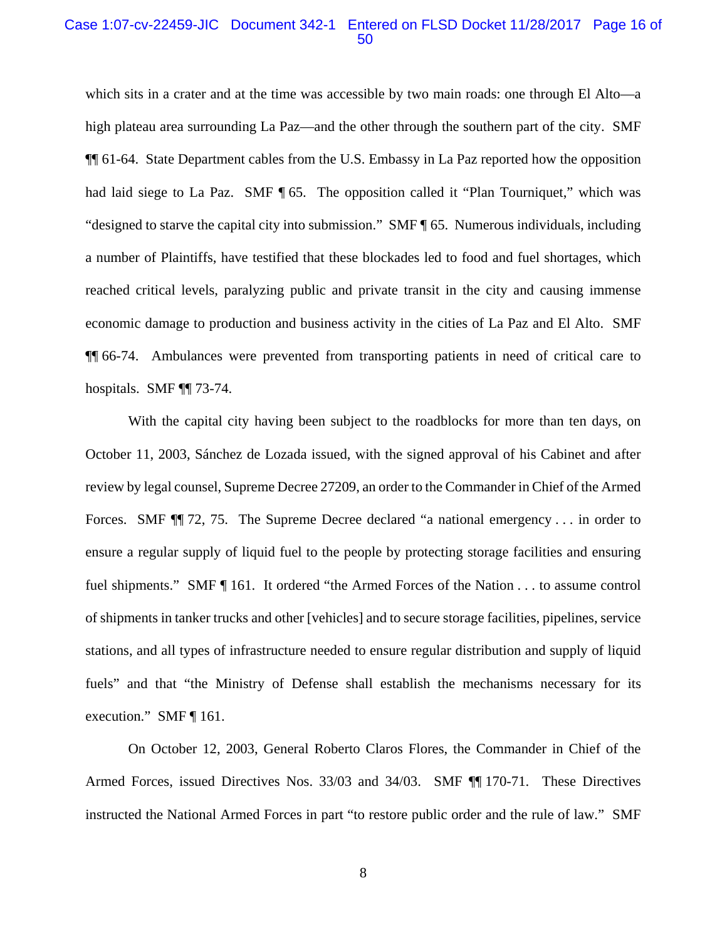#### Case 1:07-cv-22459-JIC Document 342-1 Entered on FLSD Docket 11/28/2017 Page 16 of 50

which sits in a crater and at the time was accessible by two main roads: one through El Alto—a high plateau area surrounding La Paz—and the other through the southern part of the city. SMF ¶¶ 61-64. State Department cables from the U.S. Embassy in La Paz reported how the opposition had laid siege to La Paz. SMF ¶ 65. The opposition called it "Plan Tourniquet," which was "designed to starve the capital city into submission." SMF ¶ 65. Numerous individuals, including a number of Plaintiffs, have testified that these blockades led to food and fuel shortages, which reached critical levels, paralyzing public and private transit in the city and causing immense economic damage to production and business activity in the cities of La Paz and El Alto. SMF ¶¶ 66-74. Ambulances were prevented from transporting patients in need of critical care to hospitals. SMF ¶¶ 73-74.

With the capital city having been subject to the roadblocks for more than ten days, on October 11, 2003, Sánchez de Lozada issued, with the signed approval of his Cabinet and after review by legal counsel, Supreme Decree 27209, an order to the Commander in Chief of the Armed Forces. SMF  $\P$  72, 75. The Supreme Decree declared "a national emergency . . . in order to ensure a regular supply of liquid fuel to the people by protecting storage facilities and ensuring fuel shipments." SMF ¶ 161. It ordered "the Armed Forces of the Nation . . . to assume control of shipments in tanker trucks and other [vehicles] and to secure storage facilities, pipelines, service stations, and all types of infrastructure needed to ensure regular distribution and supply of liquid fuels" and that "the Ministry of Defense shall establish the mechanisms necessary for its execution." SMF ¶ 161.

On October 12, 2003, General Roberto Claros Flores, the Commander in Chief of the Armed Forces, issued Directives Nos. 33/03 and 34/03. SMF ¶¶ 170-71. These Directives instructed the National Armed Forces in part "to restore public order and the rule of law." SMF

8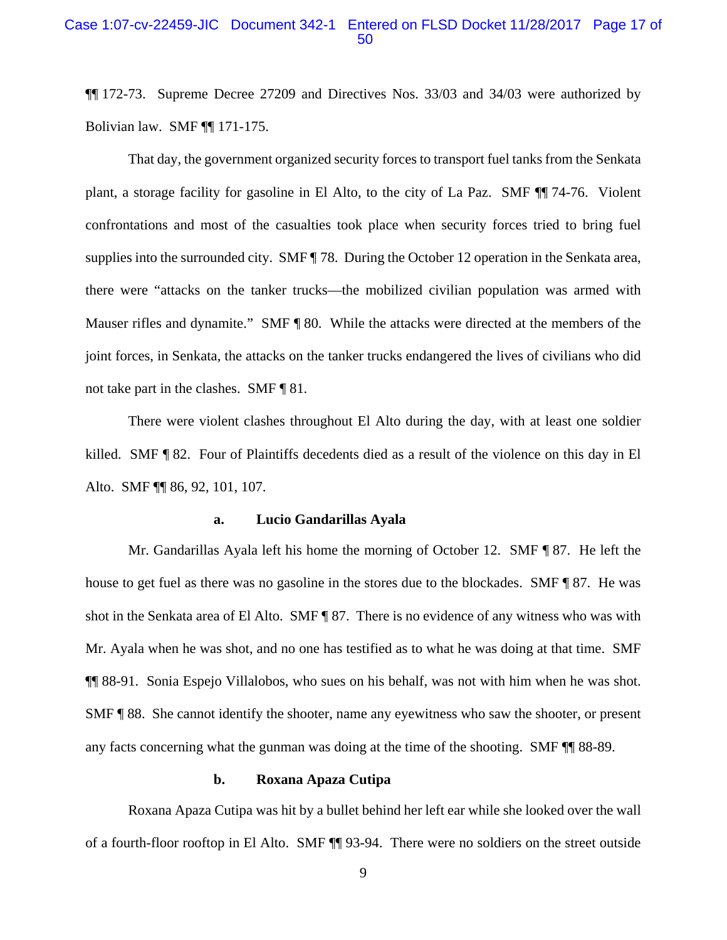### Case 1:07-cv-22459-JIC Document 342-1 Entered on FLSD Docket 11/28/2017 Page 17 of 50

¶¶ 172-73. Supreme Decree 27209 and Directives Nos. 33/03 and 34/03 were authorized by Bolivian law. SMF ¶¶ 171-175.

That day, the government organized security forces to transport fuel tanks from the Senkata plant, a storage facility for gasoline in El Alto, to the city of La Paz. SMF ¶¶ 74-76. Violent confrontations and most of the casualties took place when security forces tried to bring fuel supplies into the surrounded city. SMF  $\parallel$  78. During the October 12 operation in the Senkata area, there were "attacks on the tanker trucks—the mobilized civilian population was armed with Mauser rifles and dynamite." SMF ¶ 80. While the attacks were directed at the members of the joint forces, in Senkata, the attacks on the tanker trucks endangered the lives of civilians who did not take part in the clashes. SMF ¶ 81*.*

There were violent clashes throughout El Alto during the day, with at least one soldier killed. SMF ¶ 82. Four of Plaintiffs decedents died as a result of the violence on this day in El Alto. SMF ¶¶ 86, 92, 101, 107.

#### **a. Lucio Gandarillas Ayala**

Mr. Gandarillas Ayala left his home the morning of October 12. SMF ¶ 87. He left the house to get fuel as there was no gasoline in the stores due to the blockades. SMF ¶ 87. He was shot in the Senkata area of El Alto. SMF ¶ 87. There is no evidence of any witness who was with Mr. Ayala when he was shot, and no one has testified as to what he was doing at that time. SMF ¶¶ 88-91. Sonia Espejo Villalobos, who sues on his behalf, was not with him when he was shot. SMF ¶ 88. She cannot identify the shooter, name any eyewitness who saw the shooter, or present any facts concerning what the gunman was doing at the time of the shooting. SMF ¶¶ 88-89.

### **b. Roxana Apaza Cutipa**

Roxana Apaza Cutipa was hit by a bullet behind her left ear while she looked over the wall of a fourth-floor rooftop in El Alto. SMF ¶¶ 93-94. There were no soldiers on the street outside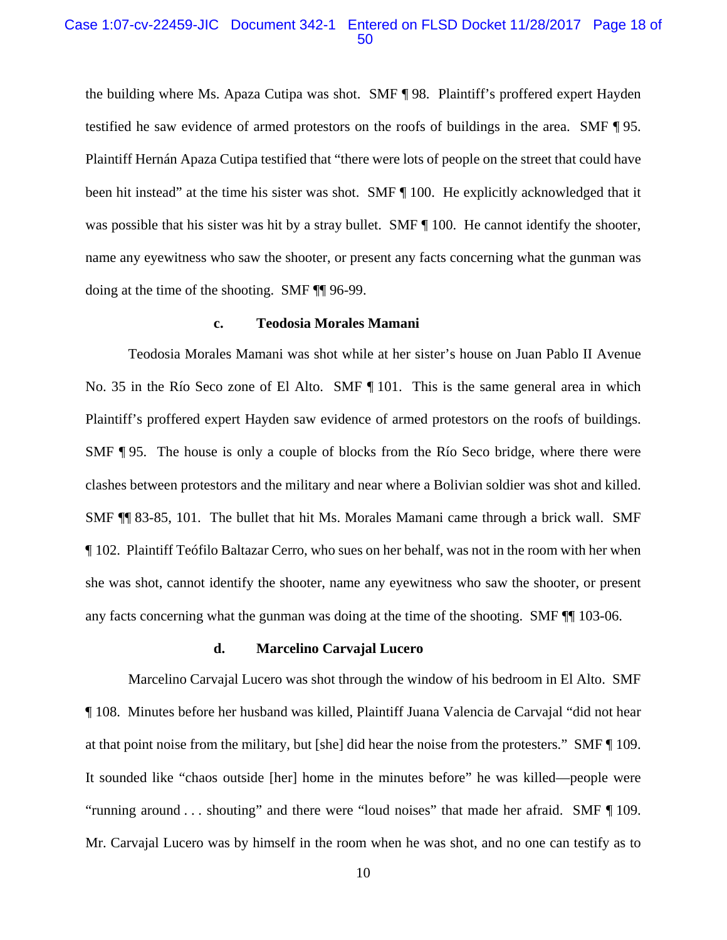### Case 1:07-cv-22459-JIC Document 342-1 Entered on FLSD Docket 11/28/2017 Page 18 of 50

the building where Ms. Apaza Cutipa was shot. SMF ¶ 98. Plaintiff's proffered expert Hayden testified he saw evidence of armed protestors on the roofs of buildings in the area. SMF ¶ 95. Plaintiff Hernán Apaza Cutipa testified that "there were lots of people on the street that could have been hit instead" at the time his sister was shot. SMF ¶ 100. He explicitly acknowledged that it was possible that his sister was hit by a stray bullet. SMF  $\P$  100. He cannot identify the shooter, name any eyewitness who saw the shooter, or present any facts concerning what the gunman was doing at the time of the shooting. SMF ¶¶ 96-99.

#### **c. Teodosia Morales Mamani**

Teodosia Morales Mamani was shot while at her sister's house on Juan Pablo II Avenue No. 35 in the Río Seco zone of El Alto. SMF ¶ 101. This is the same general area in which Plaintiff's proffered expert Hayden saw evidence of armed protestors on the roofs of buildings. SMF ¶ 95. The house is only a couple of blocks from the Río Seco bridge, where there were clashes between protestors and the military and near where a Bolivian soldier was shot and killed. SMF ¶¶ 83-85, 101. The bullet that hit Ms. Morales Mamani came through a brick wall. SMF ¶ 102. Plaintiff Teófilo Baltazar Cerro, who sues on her behalf, was not in the room with her when she was shot, cannot identify the shooter, name any eyewitness who saw the shooter, or present any facts concerning what the gunman was doing at the time of the shooting. SMF ¶¶ 103-06.

#### **d. Marcelino Carvajal Lucero**

Marcelino Carvajal Lucero was shot through the window of his bedroom in El Alto. SMF ¶ 108. Minutes before her husband was killed, Plaintiff Juana Valencia de Carvajal "did not hear at that point noise from the military, but [she] did hear the noise from the protesters." SMF ¶ 109. It sounded like "chaos outside [her] home in the minutes before" he was killed—people were "running around . . . shouting" and there were "loud noises" that made her afraid. SMF ¶ 109. Mr. Carvajal Lucero was by himself in the room when he was shot, and no one can testify as to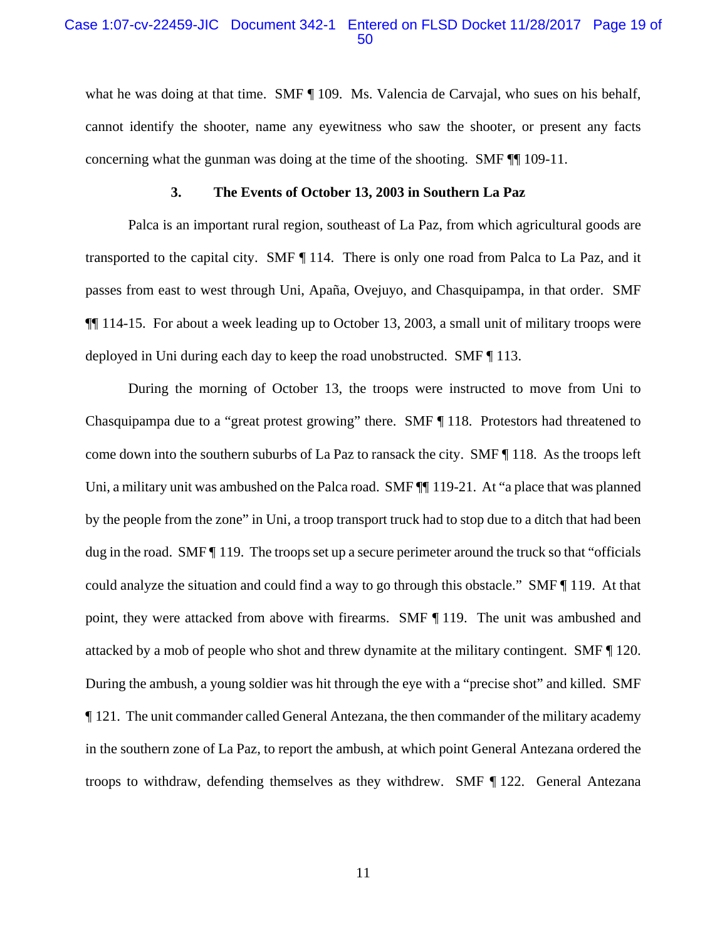### Case 1:07-cv-22459-JIC Document 342-1 Entered on FLSD Docket 11/28/2017 Page 19 of 50

what he was doing at that time. SMF  $\P$  109. Ms. Valencia de Carvajal, who sues on his behalf, cannot identify the shooter, name any eyewitness who saw the shooter, or present any facts concerning what the gunman was doing at the time of the shooting. SMF ¶¶ 109-11.

#### **3. The Events of October 13, 2003 in Southern La Paz**

Palca is an important rural region, southeast of La Paz, from which agricultural goods are transported to the capital city. SMF ¶ 114. There is only one road from Palca to La Paz, and it passes from east to west through Uni, Apaña, Ovejuyo, and Chasquipampa, in that order. SMF ¶¶ 114-15. For about a week leading up to October 13, 2003, a small unit of military troops were deployed in Uni during each day to keep the road unobstructed. SMF ¶ 113.

During the morning of October 13, the troops were instructed to move from Uni to Chasquipampa due to a "great protest growing" there. SMF ¶ 118. Protestors had threatened to come down into the southern suburbs of La Paz to ransack the city. SMF ¶ 118. As the troops left Uni, a military unit was ambushed on the Palca road. SMF  $\P$  119-21. At "a place that was planned by the people from the zone" in Uni, a troop transport truck had to stop due to a ditch that had been dug in the road. SMF ¶ 119. The troops set up a secure perimeter around the truck so that "officials could analyze the situation and could find a way to go through this obstacle." SMF ¶ 119. At that point, they were attacked from above with firearms. SMF ¶ 119. The unit was ambushed and attacked by a mob of people who shot and threw dynamite at the military contingent. SMF ¶ 120. During the ambush, a young soldier was hit through the eye with a "precise shot" and killed. SMF ¶ 121. The unit commander called General Antezana, the then commander of the military academy in the southern zone of La Paz, to report the ambush, at which point General Antezana ordered the troops to withdraw, defending themselves as they withdrew. SMF ¶ 122. General Antezana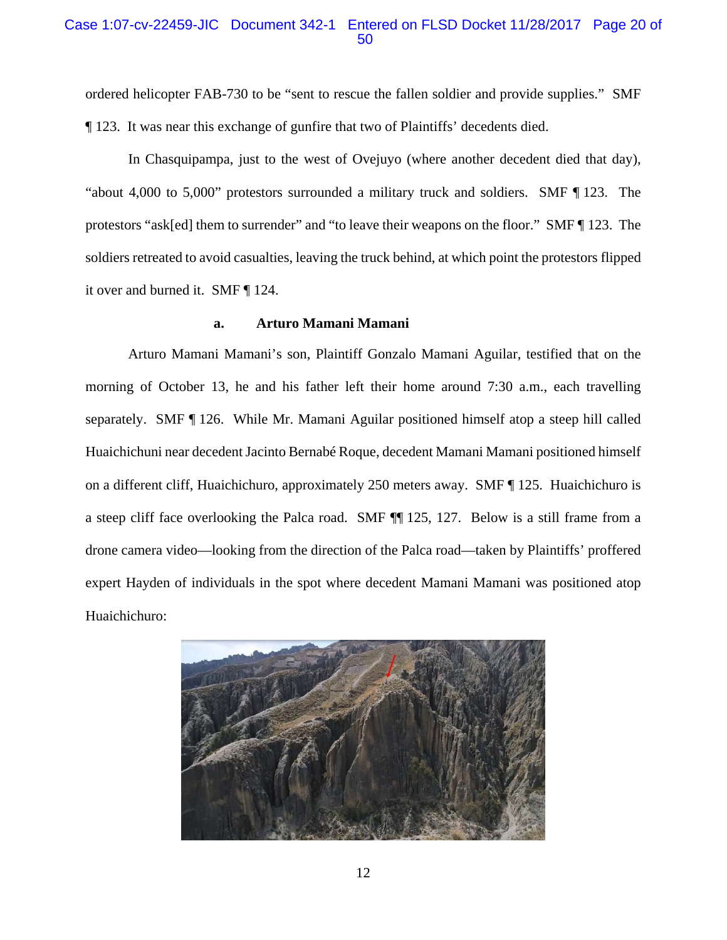### Case 1:07-cv-22459-JIC Document 342-1 Entered on FLSD Docket 11/28/2017 Page 20 of 50

ordered helicopter FAB-730 to be "sent to rescue the fallen soldier and provide supplies." SMF ¶ 123. It was near this exchange of gunfire that two of Plaintiffs' decedents died.

In Chasquipampa, just to the west of Ovejuyo (where another decedent died that day), "about 4,000 to 5,000" protestors surrounded a military truck and soldiers. SMF ¶ 123. The protestors "ask[ed] them to surrender" and "to leave their weapons on the floor." SMF ¶ 123. The soldiers retreated to avoid casualties, leaving the truck behind, at which point the protestors flipped it over and burned it. SMF ¶ 124.

#### **a. Arturo Mamani Mamani**

Arturo Mamani Mamani's son, Plaintiff Gonzalo Mamani Aguilar, testified that on the morning of October 13, he and his father left their home around 7:30 a.m., each travelling separately. SMF ¶ 126. While Mr. Mamani Aguilar positioned himself atop a steep hill called Huaichichuni near decedent Jacinto Bernabé Roque, decedent Mamani Mamani positioned himself on a different cliff, Huaichichuro, approximately 250 meters away. SMF ¶ 125. Huaichichuro is a steep cliff face overlooking the Palca road. SMF ¶¶ 125, 127. Below is a still frame from a drone camera video—looking from the direction of the Palca road—taken by Plaintiffs' proffered expert Hayden of individuals in the spot where decedent Mamani Mamani was positioned atop Huaichichuro:

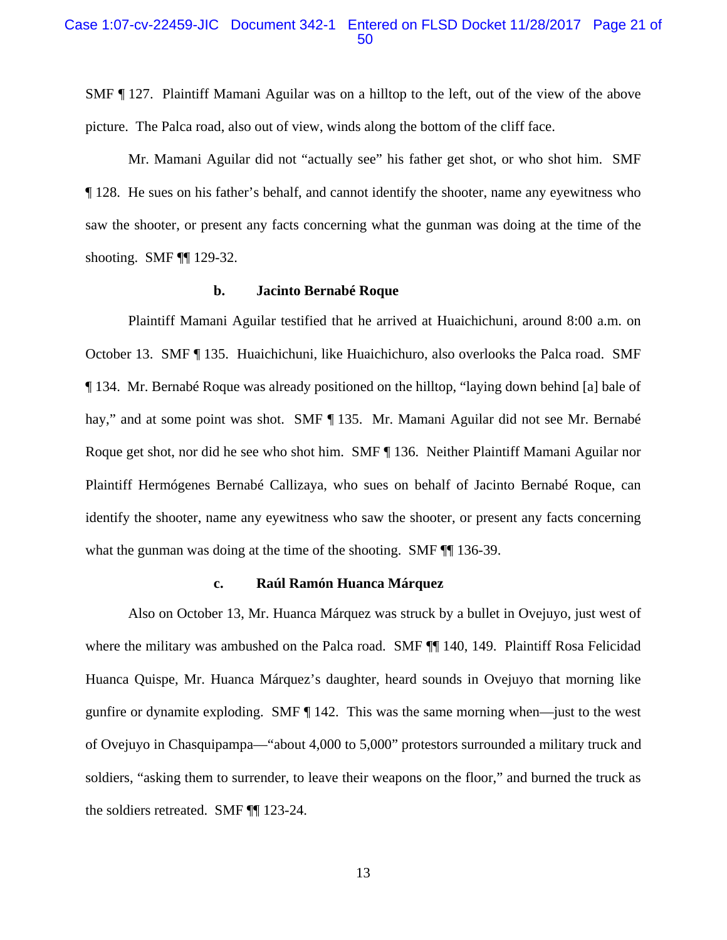### Case 1:07-cv-22459-JIC Document 342-1 Entered on FLSD Docket 11/28/2017 Page 21 of 50

SMF ¶ 127. Plaintiff Mamani Aguilar was on a hilltop to the left, out of the view of the above picture. The Palca road, also out of view, winds along the bottom of the cliff face.

Mr. Mamani Aguilar did not "actually see" his father get shot, or who shot him. SMF ¶ 128. He sues on his father's behalf, and cannot identify the shooter, name any eyewitness who saw the shooter, or present any facts concerning what the gunman was doing at the time of the shooting. SMF ¶¶ 129-32.

#### **b. Jacinto Bernabé Roque**

Plaintiff Mamani Aguilar testified that he arrived at Huaichichuni, around 8:00 a.m. on October 13. SMF ¶ 135. Huaichichuni, like Huaichichuro, also overlooks the Palca road. SMF ¶ 134. Mr. Bernabé Roque was already positioned on the hilltop, "laying down behind [a] bale of hay," and at some point was shot. SMF ¶ 135. Mr. Mamani Aguilar did not see Mr. Bernabé Roque get shot, nor did he see who shot him. SMF ¶ 136. Neither Plaintiff Mamani Aguilar nor Plaintiff Hermógenes Bernabé Callizaya, who sues on behalf of Jacinto Bernabé Roque, can identify the shooter, name any eyewitness who saw the shooter, or present any facts concerning what the gunman was doing at the time of the shooting. SMF  $\P\P$  136-39.

#### **c. Raúl Ramón Huanca Márquez**

Also on October 13, Mr. Huanca Márquez was struck by a bullet in Ovejuyo, just west of where the military was ambushed on the Palca road. SMF  $\P$  140, 149. Plaintiff Rosa Felicidad Huanca Quispe, Mr. Huanca Márquez's daughter, heard sounds in Ovejuyo that morning like gunfire or dynamite exploding. SMF ¶ 142.This was the same morning when—just to the west of Ovejuyo in Chasquipampa—"about 4,000 to 5,000" protestors surrounded a military truck and soldiers, "asking them to surrender, to leave their weapons on the floor," and burned the truck as the soldiers retreated. SMF ¶¶ 123-24.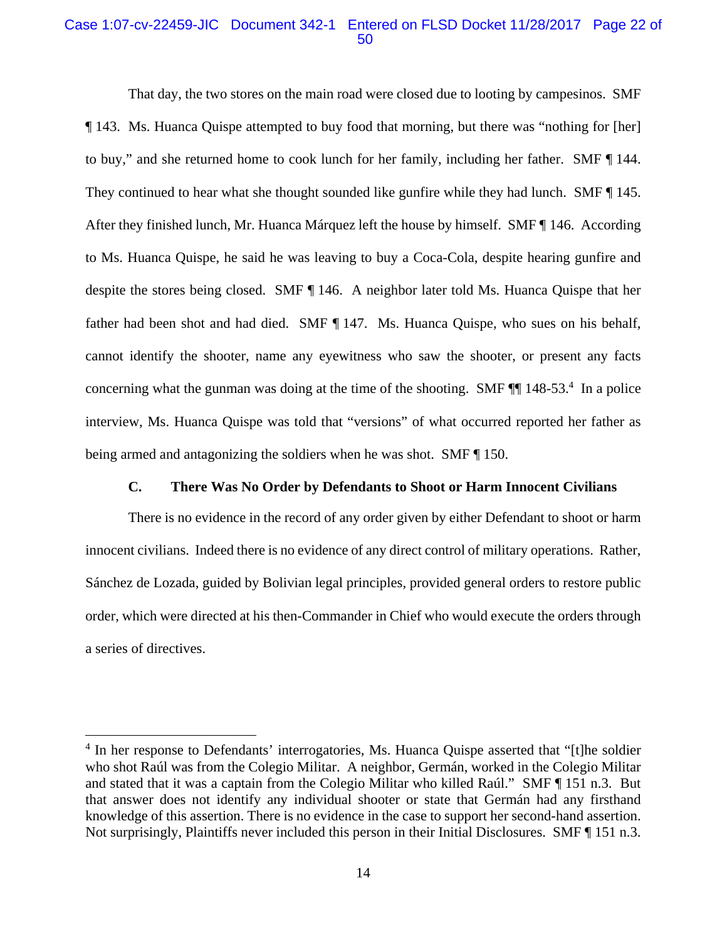### Case 1:07-cv-22459-JIC Document 342-1 Entered on FLSD Docket 11/28/2017 Page 22 of 50

That day, the two stores on the main road were closed due to looting by campesinos. SMF ¶ 143. Ms. Huanca Quispe attempted to buy food that morning, but there was "nothing for [her] to buy," and she returned home to cook lunch for her family, including her father. SMF ¶ 144. They continued to hear what she thought sounded like gunfire while they had lunch. SMF  $\P$  145. After they finished lunch, Mr. Huanca Márquez left the house by himself. SMF ¶ 146. According to Ms. Huanca Quispe, he said he was leaving to buy a Coca-Cola, despite hearing gunfire and despite the stores being closed. SMF ¶ 146. A neighbor later told Ms. Huanca Quispe that her father had been shot and had died. SMF ¶ 147. Ms. Huanca Quispe, who sues on his behalf, cannot identify the shooter, name any eyewitness who saw the shooter, or present any facts concerning what the gunman was doing at the time of the shooting. SMF  $\P$  148-53.<sup>4</sup> In a police interview, Ms. Huanca Quispe was told that "versions" of what occurred reported her father as being armed and antagonizing the soldiers when he was shot. SMF ¶ 150.

### **C. There Was No Order by Defendants to Shoot or Harm Innocent Civilians**

There is no evidence in the record of any order given by either Defendant to shoot or harm innocent civilians. Indeed there is no evidence of any direct control of military operations. Rather, Sánchez de Lozada, guided by Bolivian legal principles, provided general orders to restore public order, which were directed at his then-Commander in Chief who would execute the orders through a series of directives.

<u>.</u>

<sup>&</sup>lt;sup>4</sup> In her response to Defendants' interrogatories, Ms. Huanca Quispe asserted that "[t]he soldier who shot Raúl was from the Colegio Militar. A neighbor, Germán, worked in the Colegio Militar and stated that it was a captain from the Colegio Militar who killed Raúl." SMF ¶ 151 n.3. But that answer does not identify any individual shooter or state that Germán had any firsthand knowledge of this assertion. There is no evidence in the case to support her second-hand assertion. Not surprisingly, Plaintiffs never included this person in their Initial Disclosures. SMF [ 151 n.3.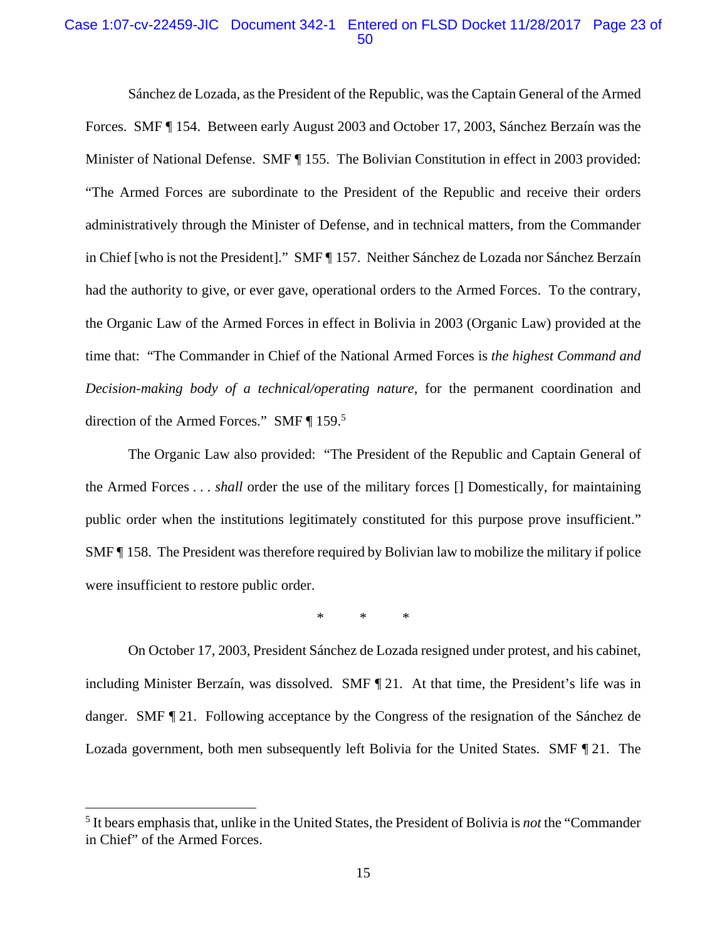### Case 1:07-cv-22459-JIC Document 342-1 Entered on FLSD Docket 11/28/2017 Page 23 of 50

Sánchez de Lozada, as the President of the Republic, was the Captain General of the Armed Forces. SMF ¶ 154. Between early August 2003 and October 17, 2003, Sánchez Berzaín was the Minister of National Defense. SMF ¶ 155. The Bolivian Constitution in effect in 2003 provided: "The Armed Forces are subordinate to the President of the Republic and receive their orders administratively through the Minister of Defense, and in technical matters, from the Commander in Chief [who is not the President]." SMF ¶ 157. Neither Sánchez de Lozada nor Sánchez Berzaín had the authority to give, or ever gave, operational orders to the Armed Forces. To the contrary, the Organic Law of the Armed Forces in effect in Bolivia in 2003 (Organic Law) provided at the time that: "The Commander in Chief of the National Armed Forces is *the highest Command and Decision-making body of a technical/operating nature*, for the permanent coordination and direction of the Armed Forces." SMF ¶ 159.<sup>5</sup>

The Organic Law also provided: "The President of the Republic and Captain General of the Armed Forces . . . *shall* order the use of the military forces [] Domestically, for maintaining public order when the institutions legitimately constituted for this purpose prove insufficient." SMF ¶ 158. The President was therefore required by Bolivian law to mobilize the military if police were insufficient to restore public order.

\* \* \*

On October 17, 2003, President Sánchez de Lozada resigned under protest, and his cabinet, including Minister Berzaín, was dissolved. SMF ¶ 21. At that time, the President's life was in danger. SMF ¶ 21. Following acceptance by the Congress of the resignation of the Sánchez de Lozada government, both men subsequently left Bolivia for the United States. SMF ¶ 21. The

1

<sup>5</sup> It bears emphasis that, unlike in the United States, the President of Bolivia is *not* the "Commander in Chief" of the Armed Forces.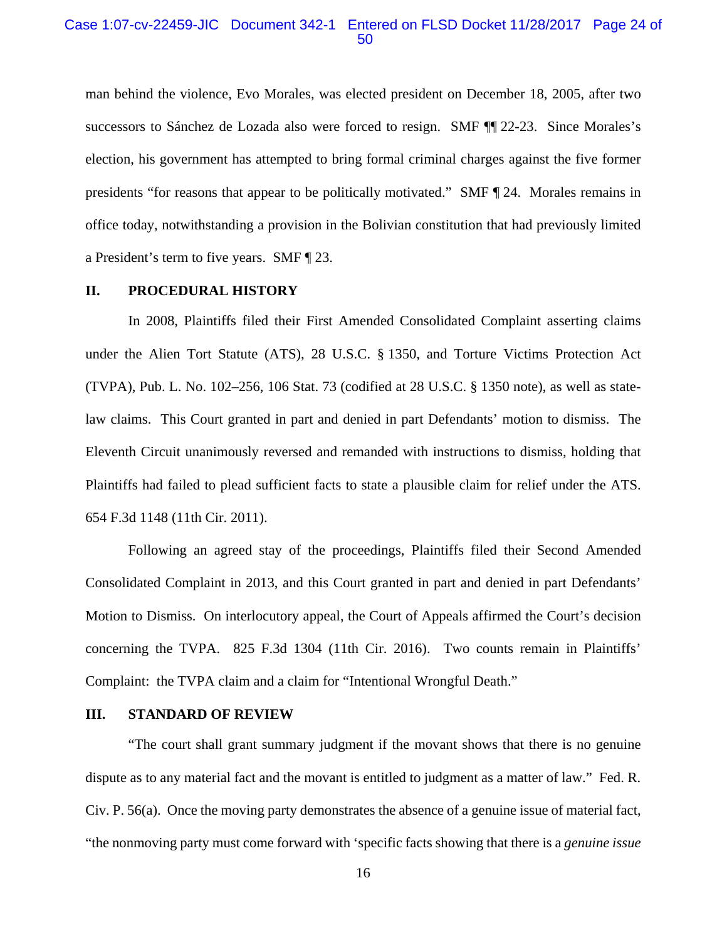### Case 1:07-cv-22459-JIC Document 342-1 Entered on FLSD Docket 11/28/2017 Page 24 of 50

man behind the violence, Evo Morales, was elected president on December 18, 2005, after two successors to Sánchez de Lozada also were forced to resign. SMF ¶¶ 22-23. Since Morales's election, his government has attempted to bring formal criminal charges against the five former presidents "for reasons that appear to be politically motivated." SMF ¶ 24. Morales remains in office today, notwithstanding a provision in the Bolivian constitution that had previously limited a President's term to five years. SMF ¶ 23.

### **II. PROCEDURAL HISTORY**

In 2008, Plaintiffs filed their First Amended Consolidated Complaint asserting claims under the Alien Tort Statute (ATS), 28 U.S.C. § 1350, and Torture Victims Protection Act (TVPA), Pub. L. No. 102–256, 106 Stat. 73 (codified at 28 U.S.C. § 1350 note), as well as statelaw claims. This Court granted in part and denied in part Defendants' motion to dismiss. The Eleventh Circuit unanimously reversed and remanded with instructions to dismiss, holding that Plaintiffs had failed to plead sufficient facts to state a plausible claim for relief under the ATS. 654 F.3d 1148 (11th Cir. 2011).

Following an agreed stay of the proceedings, Plaintiffs filed their Second Amended Consolidated Complaint in 2013, and this Court granted in part and denied in part Defendants' Motion to Dismiss. On interlocutory appeal, the Court of Appeals affirmed the Court's decision concerning the TVPA. 825 F.3d 1304 (11th Cir. 2016). Two counts remain in Plaintiffs' Complaint: the TVPA claim and a claim for "Intentional Wrongful Death."

### **III. STANDARD OF REVIEW**

"The court shall grant summary judgment if the movant shows that there is no genuine dispute as to any material fact and the movant is entitled to judgment as a matter of law." Fed. R. Civ. P. 56(a). Once the moving party demonstrates the absence of a genuine issue of material fact, "the nonmoving party must come forward with 'specific facts showing that there is a *genuine issue*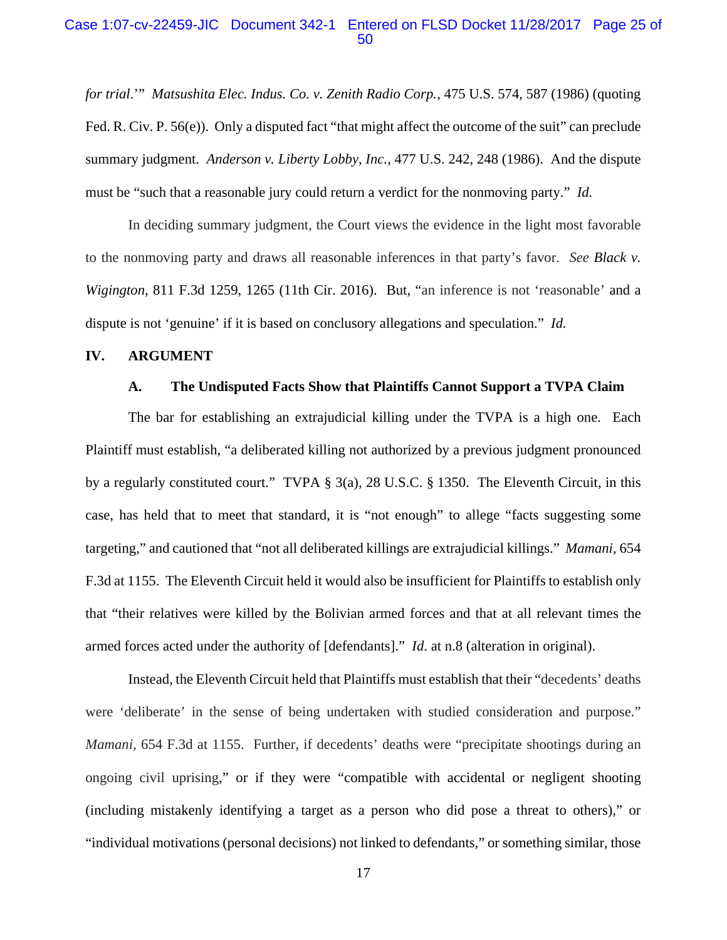### Case 1:07-cv-22459-JIC Document 342-1 Entered on FLSD Docket 11/28/2017 Page 25 of 50

*for trial*.'" *Matsushita Elec. Indus. Co. v. Zenith Radio Corp.*, 475 U.S. 574, 587 (1986) (quoting Fed. R. Civ. P. 56(e)). Only a disputed fact "that might affect the outcome of the suit" can preclude summary judgment. *Anderson v. Liberty Lobby, Inc.*, 477 U.S. 242, 248 (1986). And the dispute must be "such that a reasonable jury could return a verdict for the nonmoving party." *Id.*

In deciding summary judgment, the Court views the evidence in the light most favorable to the nonmoving party and draws all reasonable inferences in that party's favor. *See Black v. Wigington*, 811 F.3d 1259, 1265 (11th Cir. 2016). But, "an inference is not 'reasonable' and a dispute is not 'genuine' if it is based on conclusory allegations and speculation." *Id.*

#### **IV. ARGUMENT**

#### **A. The Undisputed Facts Show that Plaintiffs Cannot Support a TVPA Claim**

The bar for establishing an extrajudicial killing under the TVPA is a high one. Each Plaintiff must establish, "a deliberated killing not authorized by a previous judgment pronounced by a regularly constituted court." TVPA § 3(a), 28 U.S.C. § 1350. The Eleventh Circuit, in this case, has held that to meet that standard, it is "not enough" to allege "facts suggesting some targeting," and cautioned that "not all deliberated killings are extrajudicial killings." *Mamani*, 654 F.3d at 1155. The Eleventh Circuit held it would also be insufficient for Plaintiffs to establish only that "their relatives were killed by the Bolivian armed forces and that at all relevant times the armed forces acted under the authority of [defendants]." *Id*. at n.8 (alteration in original).

Instead, the Eleventh Circuit held that Plaintiffs must establish that their "decedents' deaths were 'deliberate' in the sense of being undertaken with studied consideration and purpose." *Mamani*, 654 F.3d at 1155. Further, if decedents' deaths were "precipitate shootings during an ongoing civil uprising," or if they were "compatible with accidental or negligent shooting (including mistakenly identifying a target as a person who did pose a threat to others)," or "individual motivations (personal decisions) not linked to defendants," or something similar, those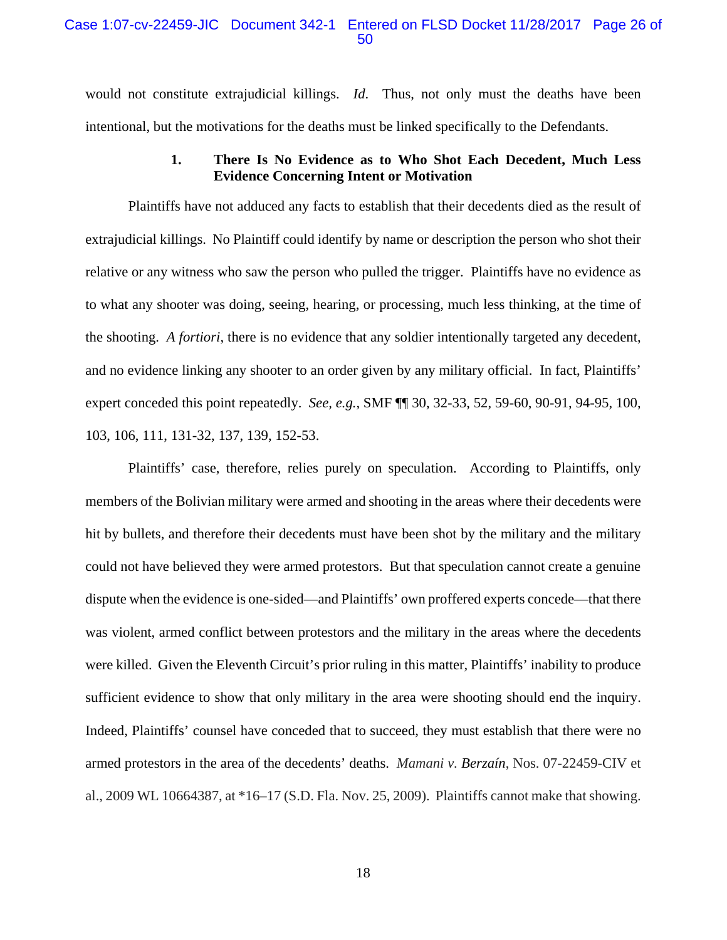would not constitute extrajudicial killings. *Id*. Thus, not only must the deaths have been intentional, but the motivations for the deaths must be linked specifically to the Defendants.

### **1. There Is No Evidence as to Who Shot Each Decedent, Much Less Evidence Concerning Intent or Motivation**

Plaintiffs have not adduced any facts to establish that their decedents died as the result of extrajudicial killings. No Plaintiff could identify by name or description the person who shot their relative or any witness who saw the person who pulled the trigger. Plaintiffs have no evidence as to what any shooter was doing, seeing, hearing, or processing, much less thinking, at the time of the shooting. *A fortiori*, there is no evidence that any soldier intentionally targeted any decedent, and no evidence linking any shooter to an order given by any military official. In fact, Plaintiffs' expert conceded this point repeatedly. *See, e.g.*, SMF ¶¶ 30, 32-33, 52, 59-60, 90-91, 94-95, 100, 103, 106, 111, 131-32, 137, 139, 152-53.

Plaintiffs' case, therefore, relies purely on speculation. According to Plaintiffs, only members of the Bolivian military were armed and shooting in the areas where their decedents were hit by bullets, and therefore their decedents must have been shot by the military and the military could not have believed they were armed protestors. But that speculation cannot create a genuine dispute when the evidence is one-sided—and Plaintiffs' own proffered experts concede—that there was violent, armed conflict between protestors and the military in the areas where the decedents were killed. Given the Eleventh Circuit's prior ruling in this matter, Plaintiffs' inability to produce sufficient evidence to show that only military in the area were shooting should end the inquiry. Indeed, Plaintiffs' counsel have conceded that to succeed, they must establish that there were no armed protestors in the area of the decedents' deaths. *Mamani v. Berzaín*, Nos. 07-22459-CIV et al., 2009 WL 10664387, at \*16–17 (S.D. Fla. Nov. 25, 2009). Plaintiffs cannot make that showing.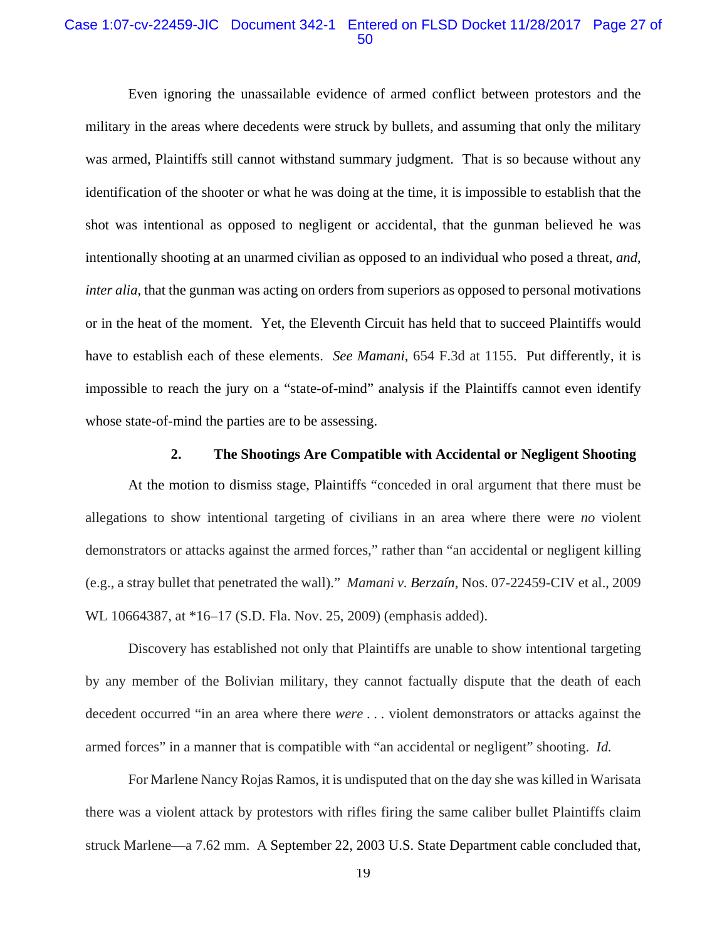### Case 1:07-cv-22459-JIC Document 342-1 Entered on FLSD Docket 11/28/2017 Page 27 of 50

Even ignoring the unassailable evidence of armed conflict between protestors and the military in the areas where decedents were struck by bullets, and assuming that only the military was armed, Plaintiffs still cannot withstand summary judgment. That is so because without any identification of the shooter or what he was doing at the time, it is impossible to establish that the shot was intentional as opposed to negligent or accidental, that the gunman believed he was intentionally shooting at an unarmed civilian as opposed to an individual who posed a threat, *and*, *inter alia*, that the gunman was acting on orders from superiors as opposed to personal motivations or in the heat of the moment. Yet, the Eleventh Circuit has held that to succeed Plaintiffs would have to establish each of these elements. *See Mamani*, 654 F.3d at 1155. Put differently, it is impossible to reach the jury on a "state-of-mind" analysis if the Plaintiffs cannot even identify whose state-of-mind the parties are to be assessing.

#### **2. The Shootings Are Compatible with Accidental or Negligent Shooting**

At the motion to dismiss stage, Plaintiffs "conceded in oral argument that there must be allegations to show intentional targeting of civilians in an area where there were *no* violent demonstrators or attacks against the armed forces," rather than "an accidental or negligent killing (e.g., a stray bullet that penetrated the wall)." *Mamani v. Berzaín*, Nos. 07-22459-CIV et al., 2009 WL 10664387, at \*16–17 (S.D. Fla. Nov. 25, 2009) (emphasis added).

Discovery has established not only that Plaintiffs are unable to show intentional targeting by any member of the Bolivian military, they cannot factually dispute that the death of each decedent occurred "in an area where there *were* . . . violent demonstrators or attacks against the armed forces" in a manner that is compatible with "an accidental or negligent" shooting. *Id.*

For Marlene Nancy Rojas Ramos, it is undisputed that on the day she was killed in Warisata there was a violent attack by protestors with rifles firing the same caliber bullet Plaintiffs claim struck Marlene—a 7.62 mm. A September 22, 2003 U.S. State Department cable concluded that,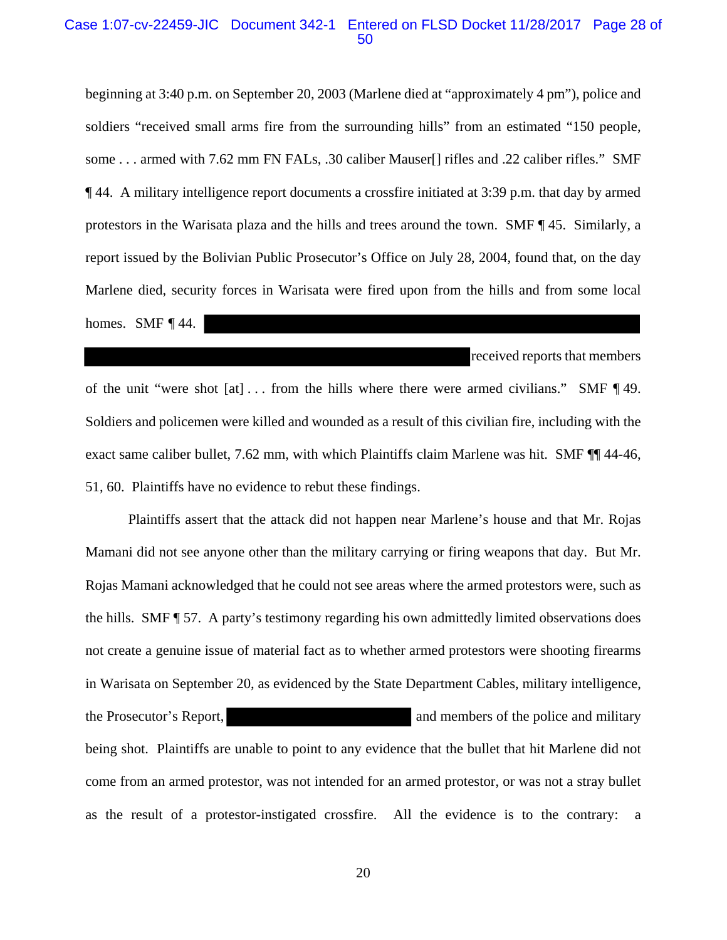#### Case 1:07-cv-22459-JIC Document 342-1 Entered on FLSD Docket 11/28/2017 Page 28 of 50

beginning at 3:40 p.m. on September 20, 2003 (Marlene died at "approximately 4 pm"), police and soldiers "received small arms fire from the surrounding hills" from an estimated "150 people, some . . . armed with 7.62 mm FN FALs, .30 caliber Mauser[] rifles and .22 caliber rifles." SMF ¶ 44. A military intelligence report documents a crossfire initiated at 3:39 p.m. that day by armed protestors in the Warisata plaza and the hills and trees around the town. SMF ¶ 45. Similarly, a report issued by the Bolivian Public Prosecutor's Office on July 28, 2004, found that, on the day Marlene died, security forces in Warisata were fired upon from the hills and from some local homes. SMF  $\P$ 44.

received reports that members

of the unit "were shot [at] . . . from the hills where there were armed civilians." SMF ¶ 49. Soldiers and policemen were killed and wounded as a result of this civilian fire, including with the exact same caliber bullet, 7.62 mm, with which Plaintiffs claim Marlene was hit. SMF ¶¶ 44-46, 51, 60. Plaintiffs have no evidence to rebut these findings.

Plaintiffs assert that the attack did not happen near Marlene's house and that Mr. Rojas Mamani did not see anyone other than the military carrying or firing weapons that day. But Mr. Rojas Mamani acknowledged that he could not see areas where the armed protestors were, such as the hills. SMF ¶ 57. A party's testimony regarding his own admittedly limited observations does not create a genuine issue of material fact as to whether armed protestors were shooting firearms in Warisata on September 20, as evidenced by the State Department Cables, military intelligence, the Prosecutor's Report, and members of the police and military being shot. Plaintiffs are unable to point to any evidence that the bullet that hit Marlene did not come from an armed protestor, was not intended for an armed protestor, or was not a stray bullet as the result of a protestor-instigated crossfire. All the evidence is to the contrary: a

20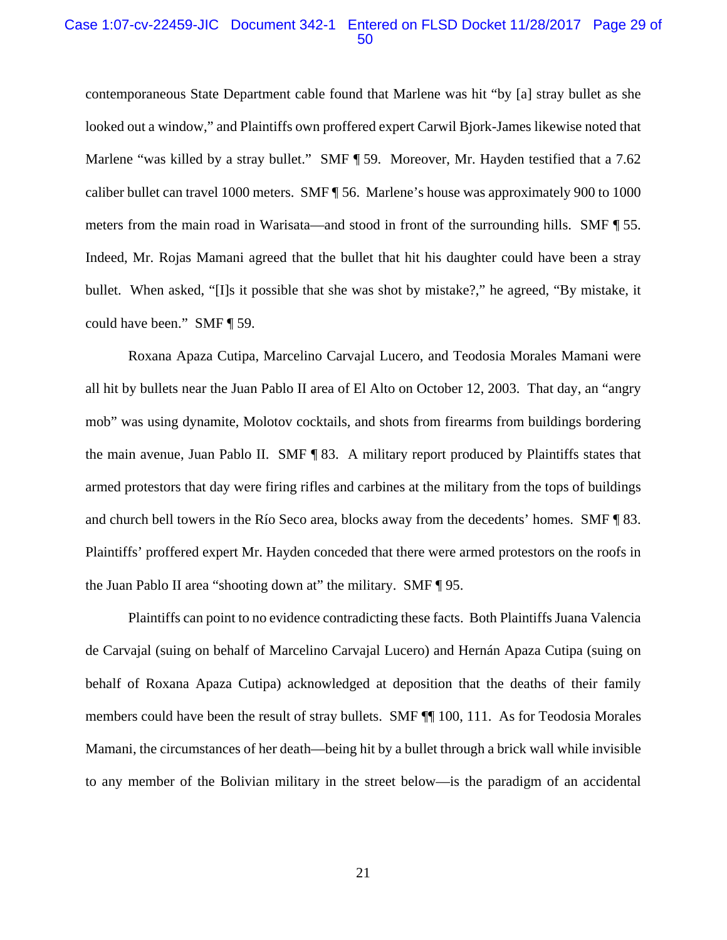#### Case 1:07-cv-22459-JIC Document 342-1 Entered on FLSD Docket 11/28/2017 Page 29 of 50

contemporaneous State Department cable found that Marlene was hit "by [a] stray bullet as she looked out a window," and Plaintiffs own proffered expert Carwil Bjork-James likewise noted that Marlene "was killed by a stray bullet." SMF ¶ 59. Moreover, Mr. Hayden testified that a 7.62 caliber bullet can travel 1000 meters. SMF ¶ 56. Marlene's house was approximately 900 to 1000 meters from the main road in Warisata—and stood in front of the surrounding hills. SMF ¶ 55. Indeed, Mr. Rojas Mamani agreed that the bullet that hit his daughter could have been a stray bullet. When asked, "[I]s it possible that she was shot by mistake?," he agreed, "By mistake, it could have been." SMF ¶ 59.

Roxana Apaza Cutipa, Marcelino Carvajal Lucero, and Teodosia Morales Mamani were all hit by bullets near the Juan Pablo II area of El Alto on October 12, 2003. That day, an "angry mob" was using dynamite, Molotov cocktails, and shots from firearms from buildings bordering the main avenue, Juan Pablo II. SMF ¶ 83. A military report produced by Plaintiffs states that armed protestors that day were firing rifles and carbines at the military from the tops of buildings and church bell towers in the Río Seco area, blocks away from the decedents' homes. SMF ¶ 83. Plaintiffs' proffered expert Mr. Hayden conceded that there were armed protestors on the roofs in the Juan Pablo II area "shooting down at" the military. SMF ¶ 95.

Plaintiffs can point to no evidence contradicting these facts. Both Plaintiffs Juana Valencia de Carvajal (suing on behalf of Marcelino Carvajal Lucero) and Hernán Apaza Cutipa (suing on behalf of Roxana Apaza Cutipa) acknowledged at deposition that the deaths of their family members could have been the result of stray bullets. SMF ¶¶ 100, 111. As for Teodosia Morales Mamani, the circumstances of her death—being hit by a bullet through a brick wall while invisible to any member of the Bolivian military in the street below—is the paradigm of an accidental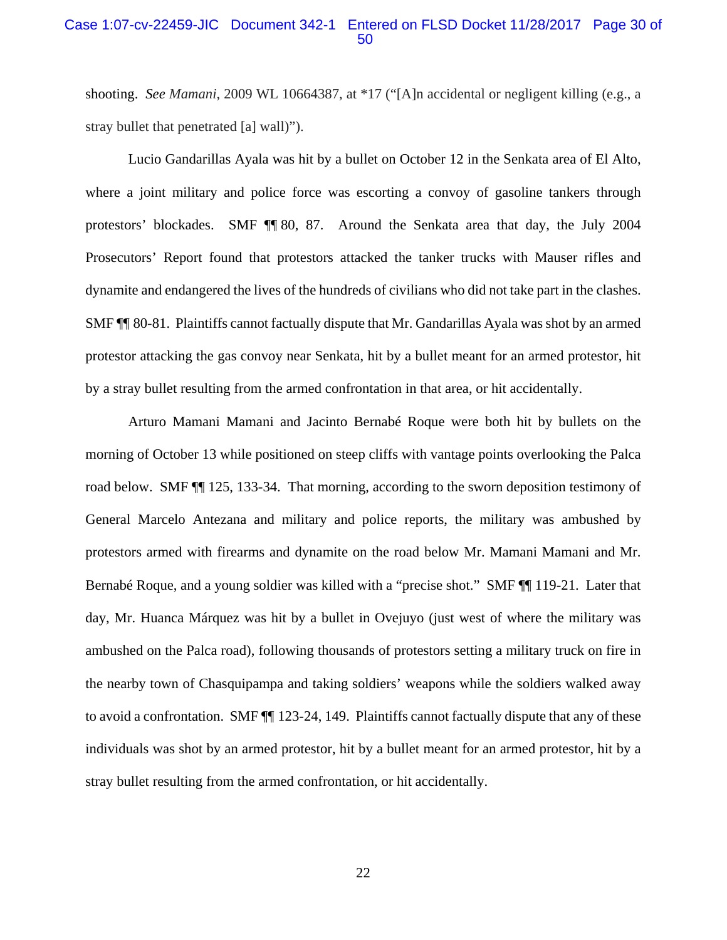### Case 1:07-cv-22459-JIC Document 342-1 Entered on FLSD Docket 11/28/2017 Page 30 of 50

shooting. *See Mamani*, 2009 WL 10664387, at \*17 ("[A]n accidental or negligent killing (e.g., a stray bullet that penetrated [a] wall)").

Lucio Gandarillas Ayala was hit by a bullet on October 12 in the Senkata area of El Alto, where a joint military and police force was escorting a convoy of gasoline tankers through protestors' blockades. SMF ¶¶ 80, 87. Around the Senkata area that day, the July 2004 Prosecutors' Report found that protestors attacked the tanker trucks with Mauser rifles and dynamite and endangered the lives of the hundreds of civilians who did not take part in the clashes. SMF ¶¶ 80-81. Plaintiffs cannot factually dispute that Mr. Gandarillas Ayala was shot by an armed protestor attacking the gas convoy near Senkata, hit by a bullet meant for an armed protestor, hit by a stray bullet resulting from the armed confrontation in that area, or hit accidentally.

Arturo Mamani Mamani and Jacinto Bernabé Roque were both hit by bullets on the morning of October 13 while positioned on steep cliffs with vantage points overlooking the Palca road below. SMF ¶¶ 125, 133-34. That morning, according to the sworn deposition testimony of General Marcelo Antezana and military and police reports, the military was ambushed by protestors armed with firearms and dynamite on the road below Mr. Mamani Mamani and Mr. Bernabé Roque, and a young soldier was killed with a "precise shot." SMF ¶¶ 119-21. Later that day, Mr. Huanca Márquez was hit by a bullet in Ovejuyo (just west of where the military was ambushed on the Palca road), following thousands of protestors setting a military truck on fire in the nearby town of Chasquipampa and taking soldiers' weapons while the soldiers walked away to avoid a confrontation. SMF ¶¶ 123-24, 149. Plaintiffs cannot factually dispute that any of these individuals was shot by an armed protestor, hit by a bullet meant for an armed protestor, hit by a stray bullet resulting from the armed confrontation, or hit accidentally.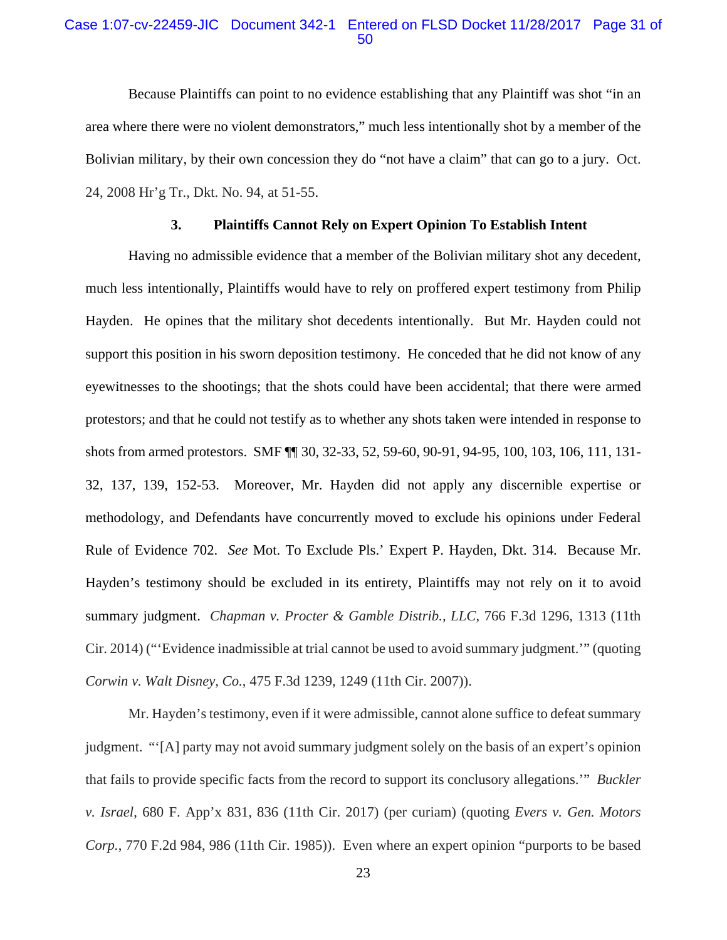### Case 1:07-cv-22459-JIC Document 342-1 Entered on FLSD Docket 11/28/2017 Page 31 of 50

Because Plaintiffs can point to no evidence establishing that any Plaintiff was shot "in an area where there were no violent demonstrators," much less intentionally shot by a member of the Bolivian military, by their own concession they do "not have a claim" that can go to a jury. Oct. 24, 2008 Hr'g Tr., Dkt. No. 94, at 51-55.

### **3. Plaintiffs Cannot Rely on Expert Opinion To Establish Intent**

Having no admissible evidence that a member of the Bolivian military shot any decedent, much less intentionally, Plaintiffs would have to rely on proffered expert testimony from Philip Hayden. He opines that the military shot decedents intentionally. But Mr. Hayden could not support this position in his sworn deposition testimony. He conceded that he did not know of any eyewitnesses to the shootings; that the shots could have been accidental; that there were armed protestors; and that he could not testify as to whether any shots taken were intended in response to shots from armed protestors. SMF ¶¶ 30, 32-33, 52, 59-60, 90-91, 94-95, 100, 103, 106, 111, 131- 32, 137, 139, 152-53. Moreover, Mr. Hayden did not apply any discernible expertise or methodology, and Defendants have concurrently moved to exclude his opinions under Federal Rule of Evidence 702. *See* Mot. To Exclude Pls.' Expert P. Hayden, Dkt. 314. Because Mr. Hayden's testimony should be excluded in its entirety, Plaintiffs may not rely on it to avoid summary judgment. *Chapman v. Procter & Gamble Distrib., LLC*, 766 F.3d 1296, 1313 (11th Cir. 2014) ("'Evidence inadmissible at trial cannot be used to avoid summary judgment.'" (quoting *Corwin v. Walt Disney, Co.*, 475 F.3d 1239, 1249 (11th Cir. 2007)).

Mr. Hayden's testimony, even if it were admissible, cannot alone suffice to defeat summary judgment. "'[A] party may not avoid summary judgment solely on the basis of an expert's opinion that fails to provide specific facts from the record to support its conclusory allegations.'" *Buckler v. Israel*, 680 F. App'x 831, 836 (11th Cir. 2017) (per curiam) (quoting *Evers v. Gen. Motors Corp.*, 770 F.2d 984, 986 (11th Cir. 1985)). Even where an expert opinion "purports to be based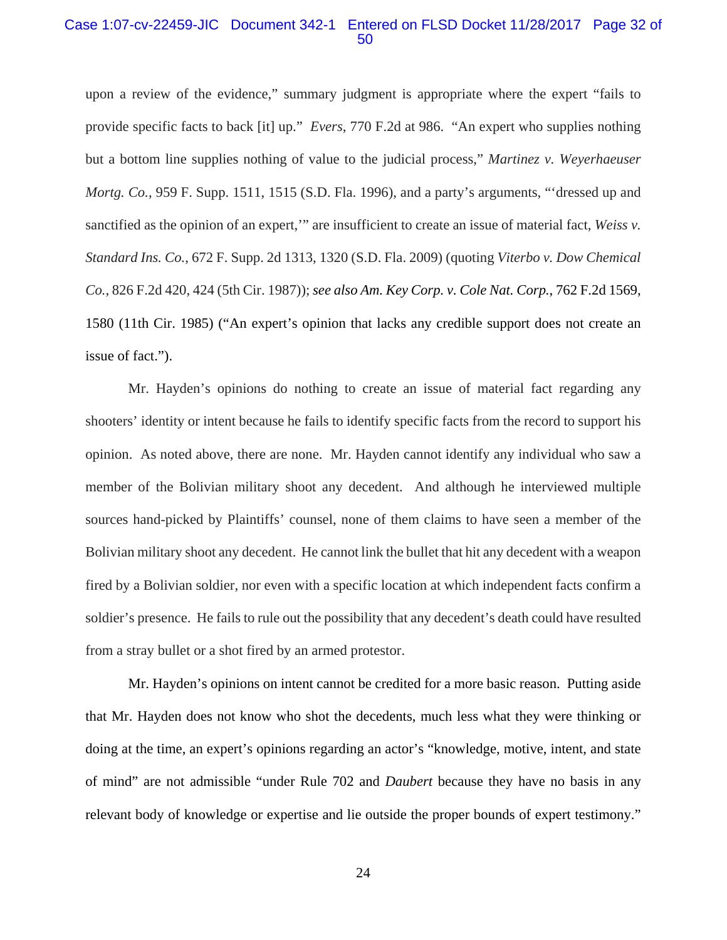#### Case 1:07-cv-22459-JIC Document 342-1 Entered on FLSD Docket 11/28/2017 Page 32 of 50

upon a review of the evidence," summary judgment is appropriate where the expert "fails to provide specific facts to back [it] up." *Evers*, 770 F.2d at 986. "An expert who supplies nothing but a bottom line supplies nothing of value to the judicial process," *Martinez v. Weyerhaeuser Mortg. Co.*, 959 F. Supp. 1511, 1515 (S.D. Fla. 1996), and a party's arguments, "'dressed up and sanctified as the opinion of an expert," are insufficient to create an issue of material fact, *Weiss v. Standard Ins. Co.*, 672 F. Supp. 2d 1313, 1320 (S.D. Fla. 2009) (quoting *Viterbo v. Dow Chemical Co.*, 826 F.2d 420, 424 (5th Cir. 1987)); *see also Am. Key Corp. v. Cole Nat. Corp.*, 762 F.2d 1569, 1580 (11th Cir. 1985) ("An expert's opinion that lacks any credible support does not create an issue of fact.").

Mr. Hayden's opinions do nothing to create an issue of material fact regarding any shooters' identity or intent because he fails to identify specific facts from the record to support his opinion. As noted above, there are none. Mr. Hayden cannot identify any individual who saw a member of the Bolivian military shoot any decedent. And although he interviewed multiple sources hand-picked by Plaintiffs' counsel, none of them claims to have seen a member of the Bolivian military shoot any decedent. He cannot link the bullet that hit any decedent with a weapon fired by a Bolivian soldier, nor even with a specific location at which independent facts confirm a soldier's presence. He fails to rule out the possibility that any decedent's death could have resulted from a stray bullet or a shot fired by an armed protestor.

Mr. Hayden's opinions on intent cannot be credited for a more basic reason. Putting aside that Mr. Hayden does not know who shot the decedents, much less what they were thinking or doing at the time, an expert's opinions regarding an actor's "knowledge, motive, intent, and state of mind" are not admissible "under Rule 702 and *Daubert* because they have no basis in any relevant body of knowledge or expertise and lie outside the proper bounds of expert testimony."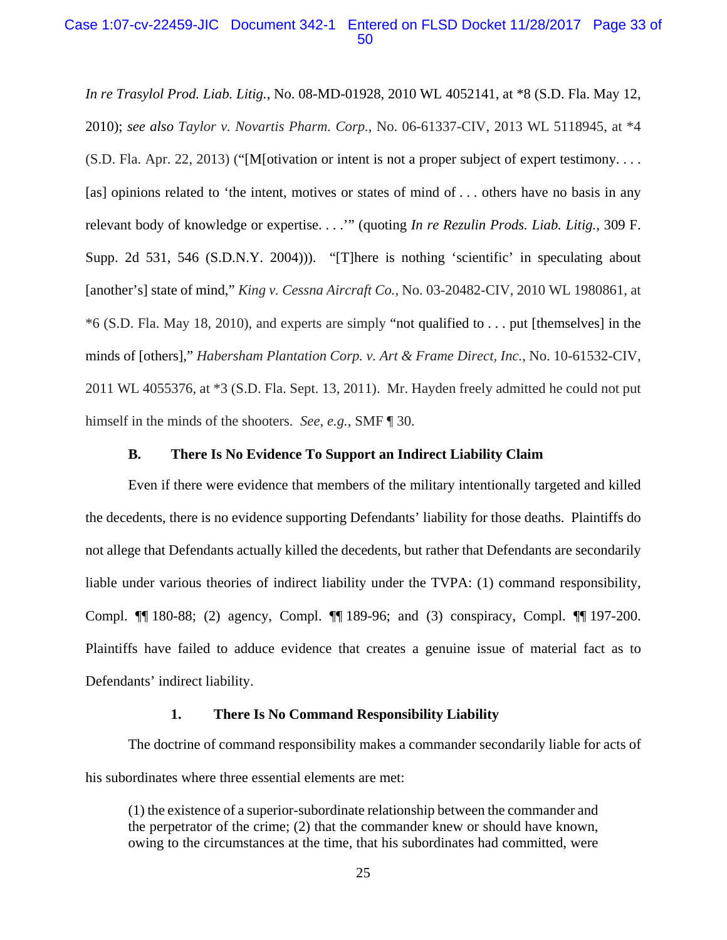### Case 1:07-cv-22459-JIC Document 342-1 Entered on FLSD Docket 11/28/2017 Page 33 of 50

*In re Trasylol Prod. Liab. Litig.*, No. 08-MD-01928, 2010 WL 4052141, at \*8 (S.D. Fla. May 12, 2010); *see also Taylor v. Novartis Pharm. Corp.*, No. 06-61337-CIV, 2013 WL 5118945, at \*4 (S.D. Fla. Apr. 22, 2013) ("[M[otivation or intent is not a proper subject of expert testimony. . . . [as] opinions related to 'the intent, motives or states of mind of ... others have no basis in any relevant body of knowledge or expertise. . . .'" (quoting *In re Rezulin Prods. Liab. Litig.*, 309 F. Supp. 2d 531, 546 (S.D.N.Y. 2004))). "[T]here is nothing 'scientific' in speculating about [another's] state of mind," *King v. Cessna Aircraft Co.*, No. 03-20482-CIV, 2010 WL 1980861, at \*6 (S.D. Fla. May 18, 2010), and experts are simply "not qualified to . . . put [themselves] in the minds of [others]," *Habersham Plantation Corp. v. Art & Frame Direct, Inc.*, No. 10-61532-CIV, 2011 WL 4055376, at \*3 (S.D. Fla. Sept. 13, 2011). Mr. Hayden freely admitted he could not put himself in the minds of the shooters. *See, e.g.*, SMF ¶ 30.

#### **B. There Is No Evidence To Support an Indirect Liability Claim**

Even if there were evidence that members of the military intentionally targeted and killed the decedents, there is no evidence supporting Defendants' liability for those deaths. Plaintiffs do not allege that Defendants actually killed the decedents, but rather that Defendants are secondarily liable under various theories of indirect liability under the TVPA: (1) command responsibility, Compl. ¶¶ 180-88; (2) agency, Compl. ¶¶ 189-96; and (3) conspiracy, Compl. ¶¶ 197-200. Plaintiffs have failed to adduce evidence that creates a genuine issue of material fact as to Defendants' indirect liability.

### **1. There Is No Command Responsibility Liability**

The doctrine of command responsibility makes a commander secondarily liable for acts of his subordinates where three essential elements are met:

(1) the existence of a superior-subordinate relationship between the commander and the perpetrator of the crime; (2) that the commander knew or should have known, owing to the circumstances at the time, that his subordinates had committed, were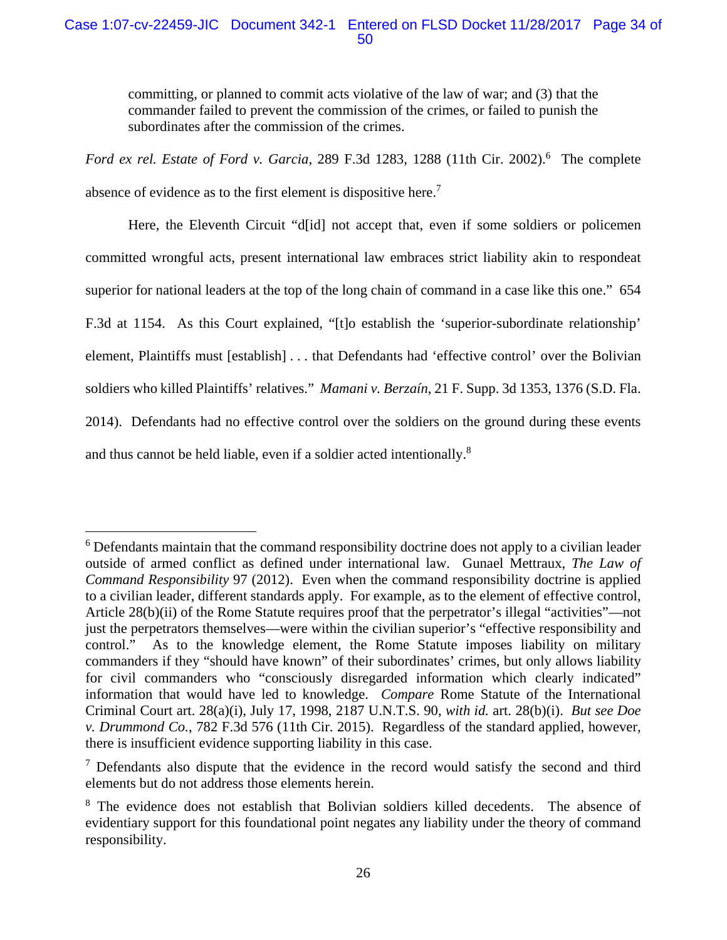# Case 1:07-cv-22459-JIC Document 342-1 Entered on FLSD Docket 11/28/2017 Page 34 of 50

committing, or planned to commit acts violative of the law of war; and (3) that the commander failed to prevent the commission of the crimes, or failed to punish the subordinates after the commission of the crimes.

Ford ex rel. Estate of Ford v. Garcia, 289 F.3d 1283, 1288 (11th Cir. 2002).<sup>6</sup> The complete absence of evidence as to the first element is dispositive here.<sup>7</sup>

Here, the Eleventh Circuit "d[id] not accept that, even if some soldiers or policemen committed wrongful acts, present international law embraces strict liability akin to respondeat superior for national leaders at the top of the long chain of command in a case like this one." 654 F.3d at 1154. As this Court explained, "[t]o establish the 'superior-subordinate relationship' element, Plaintiffs must [establish] . . . that Defendants had 'effective control' over the Bolivian soldiers who killed Plaintiffs' relatives." *Mamani v. Berzaín*, 21 F. Supp. 3d 1353, 1376 (S.D. Fla. 2014). Defendants had no effective control over the soldiers on the ground during these events and thus cannot be held liable, even if a soldier acted intentionally.8

<sup>&</sup>lt;sup>6</sup> Defendants maintain that the command responsibility doctrine does not apply to a civilian leader outside of armed conflict as defined under international law. Gunael Mettraux, *The Law of Command Responsibility* 97 (2012). Even when the command responsibility doctrine is applied to a civilian leader, different standards apply. For example, as to the element of effective control, Article 28(b)(ii) of the Rome Statute requires proof that the perpetrator's illegal "activities"—not just the perpetrators themselves—were within the civilian superior's "effective responsibility and control." As to the knowledge element, the Rome Statute imposes liability on military commanders if they "should have known" of their subordinates' crimes, but only allows liability for civil commanders who "consciously disregarded information which clearly indicated" information that would have led to knowledge. *Compare* Rome Statute of the International Criminal Court art. 28(a)(i), July 17, 1998, 2187 U.N.T.S. 90, *with id.* art. 28(b)(i). *But see Doe v. Drummond Co.*, 782 F.3d 576 (11th Cir. 2015). Regardless of the standard applied, however, there is insufficient evidence supporting liability in this case.

 $7$  Defendants also dispute that the evidence in the record would satisfy the second and third elements but do not address those elements herein.

<sup>&</sup>lt;sup>8</sup> The evidence does not establish that Bolivian soldiers killed decedents. The absence of evidentiary support for this foundational point negates any liability under the theory of command responsibility.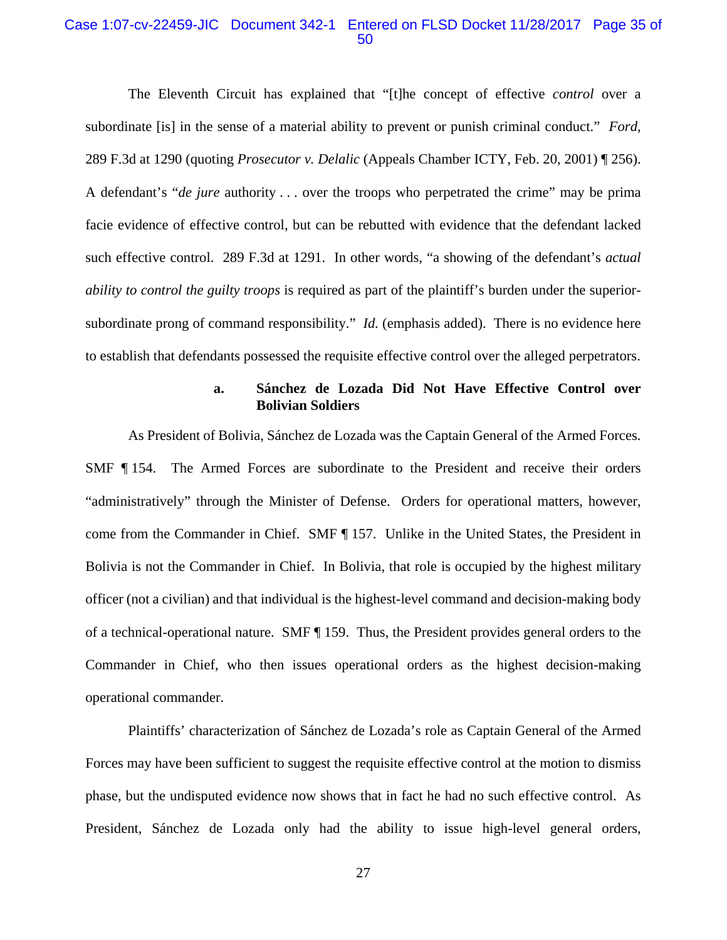#### Case 1:07-cv-22459-JIC Document 342-1 Entered on FLSD Docket 11/28/2017 Page 35 of 50

The Eleventh Circuit has explained that "[t]he concept of effective *control* over a subordinate [is] in the sense of a material ability to prevent or punish criminal conduct." *Ford*, 289 F.3d at 1290 (quoting *Prosecutor v. Delalic* (Appeals Chamber ICTY, Feb. 20, 2001) ¶ 256). A defendant's "*de jure* authority . . . over the troops who perpetrated the crime" may be prima facie evidence of effective control, but can be rebutted with evidence that the defendant lacked such effective control. 289 F.3d at 1291. In other words, "a showing of the defendant's *actual ability to control the guilty troops* is required as part of the plaintiff's burden under the superiorsubordinate prong of command responsibility." *Id.* (emphasis added). There is no evidence here to establish that defendants possessed the requisite effective control over the alleged perpetrators.

### **a. Sánchez de Lozada Did Not Have Effective Control over Bolivian Soldiers**

As President of Bolivia, Sánchez de Lozada was the Captain General of the Armed Forces. SMF ¶ 154. The Armed Forces are subordinate to the President and receive their orders "administratively" through the Minister of Defense. Orders for operational matters, however, come from the Commander in Chief. SMF ¶ 157. Unlike in the United States, the President in Bolivia is not the Commander in Chief. In Bolivia, that role is occupied by the highest military officer (not a civilian) and that individual is the highest-level command and decision-making body of a technical-operational nature. SMF ¶ 159. Thus, the President provides general orders to the Commander in Chief, who then issues operational orders as the highest decision-making operational commander.

Plaintiffs' characterization of Sánchez de Lozada's role as Captain General of the Armed Forces may have been sufficient to suggest the requisite effective control at the motion to dismiss phase, but the undisputed evidence now shows that in fact he had no such effective control. As President, Sánchez de Lozada only had the ability to issue high-level general orders,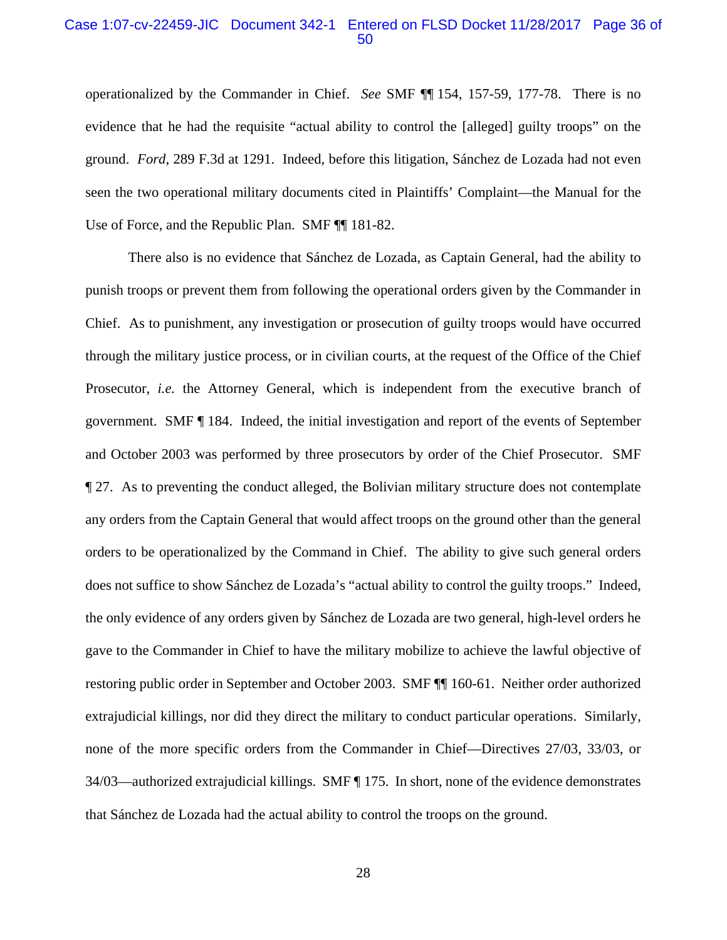### Case 1:07-cv-22459-JIC Document 342-1 Entered on FLSD Docket 11/28/2017 Page 36 of 50

operationalized by the Commander in Chief. *See* SMF ¶¶ 154, 157-59, 177-78. There is no evidence that he had the requisite "actual ability to control the [alleged] guilty troops" on the ground. *Ford*, 289 F.3d at 1291. Indeed, before this litigation, Sánchez de Lozada had not even seen the two operational military documents cited in Plaintiffs' Complaint—the Manual for the Use of Force, and the Republic Plan. SMF ¶¶ 181-82.

There also is no evidence that Sánchez de Lozada, as Captain General, had the ability to punish troops or prevent them from following the operational orders given by the Commander in Chief. As to punishment, any investigation or prosecution of guilty troops would have occurred through the military justice process, or in civilian courts, at the request of the Office of the Chief Prosecutor, *i.e.* the Attorney General, which is independent from the executive branch of government. SMF ¶ 184. Indeed, the initial investigation and report of the events of September and October 2003 was performed by three prosecutors by order of the Chief Prosecutor. SMF ¶ 27. As to preventing the conduct alleged, the Bolivian military structure does not contemplate any orders from the Captain General that would affect troops on the ground other than the general orders to be operationalized by the Command in Chief. The ability to give such general orders does not suffice to show Sánchez de Lozada's "actual ability to control the guilty troops." Indeed, the only evidence of any orders given by Sánchez de Lozada are two general, high-level orders he gave to the Commander in Chief to have the military mobilize to achieve the lawful objective of restoring public order in September and October 2003. SMF ¶¶ 160-61. Neither order authorized extrajudicial killings, nor did they direct the military to conduct particular operations. Similarly, none of the more specific orders from the Commander in Chief—Directives 27/03, 33/03, or 34/03—authorized extrajudicial killings. SMF ¶ 175. In short, none of the evidence demonstrates that Sánchez de Lozada had the actual ability to control the troops on the ground.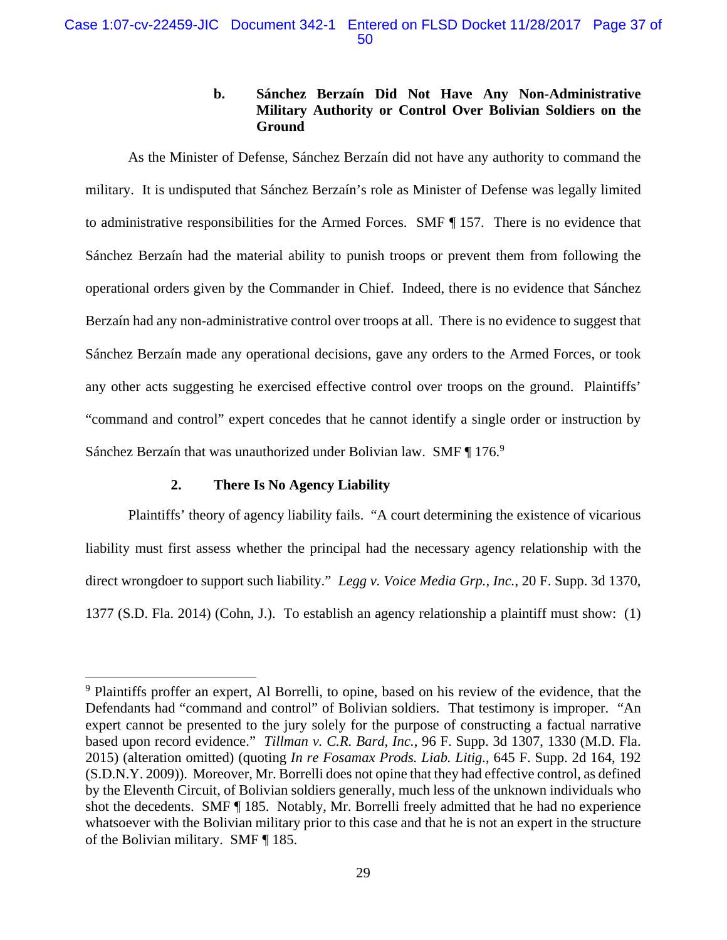# **b. Sánchez Berzaín Did Not Have Any Non-Administrative Military Authority or Control Over Bolivian Soldiers on the Ground**

As the Minister of Defense, Sánchez Berzaín did not have any authority to command the military. It is undisputed that Sánchez Berzaín's role as Minister of Defense was legally limited to administrative responsibilities for the Armed Forces. SMF ¶ 157. There is no evidence that Sánchez Berzaín had the material ability to punish troops or prevent them from following the operational orders given by the Commander in Chief. Indeed, there is no evidence that Sánchez Berzaín had any non-administrative control over troops at all. There is no evidence to suggest that Sánchez Berzaín made any operational decisions, gave any orders to the Armed Forces, or took any other acts suggesting he exercised effective control over troops on the ground. Plaintiffs' "command and control" expert concedes that he cannot identify a single order or instruction by Sánchez Berzaín that was unauthorized under Bolivian law. SMF ¶ 176.9

### **2. There Is No Agency Liability**

 $\overline{a}$ 

Plaintiffs' theory of agency liability fails. "A court determining the existence of vicarious liability must first assess whether the principal had the necessary agency relationship with the direct wrongdoer to support such liability." *Legg v. Voice Media Grp., Inc.*, 20 F. Supp. 3d 1370, 1377 (S.D. Fla. 2014) (Cohn, J.). To establish an agency relationship a plaintiff must show: (1)

<sup>&</sup>lt;sup>9</sup> Plaintiffs proffer an expert, Al Borrelli, to opine, based on his review of the evidence, that the Defendants had "command and control" of Bolivian soldiers. That testimony is improper. "An expert cannot be presented to the jury solely for the purpose of constructing a factual narrative based upon record evidence." *Tillman v. C.R. Bard, Inc.*, 96 F. Supp. 3d 1307, 1330 (M.D. Fla. 2015) (alteration omitted) (quoting *In re Fosamax Prods. Liab. Litig.*, 645 F. Supp. 2d 164, 192 (S.D.N.Y. 2009)). Moreover, Mr. Borrelli does not opine that they had effective control, as defined by the Eleventh Circuit, of Bolivian soldiers generally, much less of the unknown individuals who shot the decedents. SMF ¶ 185. Notably, Mr. Borrelli freely admitted that he had no experience whatsoever with the Bolivian military prior to this case and that he is not an expert in the structure of the Bolivian military. SMF ¶ 185.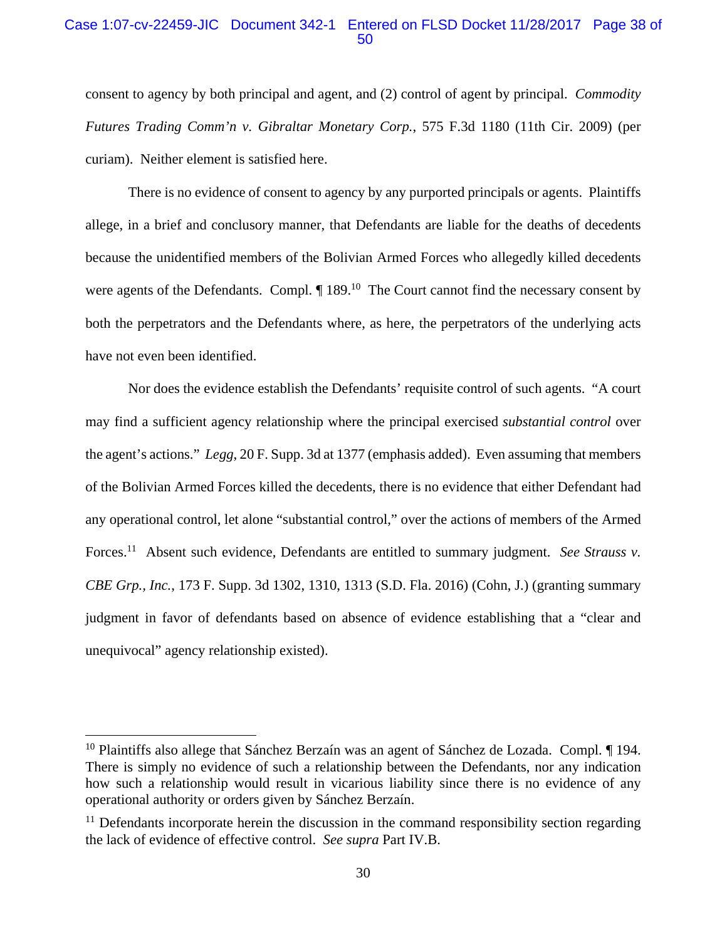### Case 1:07-cv-22459-JIC Document 342-1 Entered on FLSD Docket 11/28/2017 Page 38 of 50

consent to agency by both principal and agent, and (2) control of agent by principal. *Commodity Futures Trading Comm'n v. Gibraltar Monetary Corp.*, 575 F.3d 1180 (11th Cir. 2009) (per curiam). Neither element is satisfied here.

There is no evidence of consent to agency by any purported principals or agents. Plaintiffs allege, in a brief and conclusory manner, that Defendants are liable for the deaths of decedents because the unidentified members of the Bolivian Armed Forces who allegedly killed decedents were agents of the Defendants. Compl.  $\P$  189.<sup>10</sup> The Court cannot find the necessary consent by both the perpetrators and the Defendants where, as here, the perpetrators of the underlying acts have not even been identified.

Nor does the evidence establish the Defendants' requisite control of such agents. "A court may find a sufficient agency relationship where the principal exercised *substantial control* over the agent's actions." *Legg*, 20 F. Supp. 3d at 1377 (emphasis added). Even assuming that members of the Bolivian Armed Forces killed the decedents, there is no evidence that either Defendant had any operational control, let alone "substantial control," over the actions of members of the Armed Forces.<sup>11</sup> Absent such evidence, Defendants are entitled to summary judgment. *See Strauss v. CBE Grp., Inc.*, 173 F. Supp. 3d 1302, 1310, 1313 (S.D. Fla. 2016) (Cohn, J.) (granting summary judgment in favor of defendants based on absence of evidence establishing that a "clear and unequivocal" agency relationship existed).

<sup>&</sup>lt;sup>10</sup> Plaintiffs also allege that Sánchez Berzaín was an agent of Sánchez de Lozada. Compl.  $\P$  194. There is simply no evidence of such a relationship between the Defendants, nor any indication how such a relationship would result in vicarious liability since there is no evidence of any operational authority or orders given by Sánchez Berzaín.

 $11$  Defendants incorporate herein the discussion in the command responsibility section regarding the lack of evidence of effective control. *See supra* Part IV.B.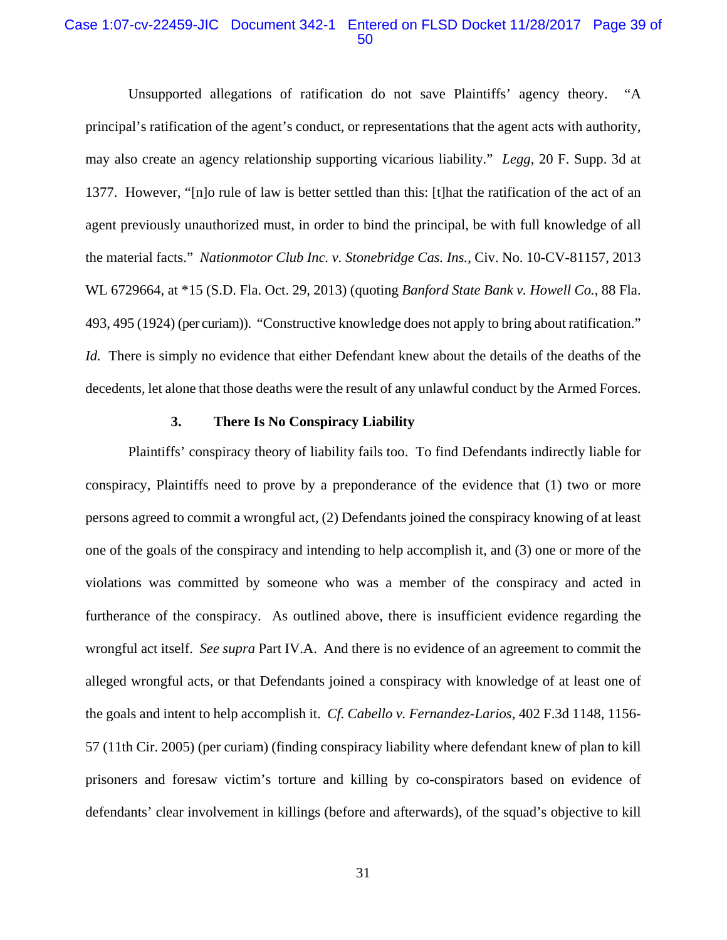### Case 1:07-cv-22459-JIC Document 342-1 Entered on FLSD Docket 11/28/2017 Page 39 of 50

Unsupported allegations of ratification do not save Plaintiffs' agency theory. "A principal's ratification of the agent's conduct, or representations that the agent acts with authority, may also create an agency relationship supporting vicarious liability." *Legg*, 20 F. Supp. 3d at 1377. However, "[n]o rule of law is better settled than this: [t]hat the ratification of the act of an agent previously unauthorized must, in order to bind the principal, be with full knowledge of all the material facts." *Nationmotor Club Inc. v. Stonebridge Cas. Ins.*, Civ. No. 10-CV-81157, 2013 WL 6729664, at \*15 (S.D. Fla. Oct. 29, 2013) (quoting *Banford State Bank v. Howell Co.*, 88 Fla. 493, 495 (1924) (per curiam)). "Constructive knowledge does not apply to bring about ratification." *Id.* There is simply no evidence that either Defendant knew about the details of the deaths of the decedents, let alone that those deaths were the result of any unlawful conduct by the Armed Forces.

#### **3. There Is No Conspiracy Liability**

Plaintiffs' conspiracy theory of liability fails too. To find Defendants indirectly liable for conspiracy, Plaintiffs need to prove by a preponderance of the evidence that (1) two or more persons agreed to commit a wrongful act, (2) Defendants joined the conspiracy knowing of at least one of the goals of the conspiracy and intending to help accomplish it, and (3) one or more of the violations was committed by someone who was a member of the conspiracy and acted in furtherance of the conspiracy. As outlined above, there is insufficient evidence regarding the wrongful act itself. *See supra* Part IV.A. And there is no evidence of an agreement to commit the alleged wrongful acts, or that Defendants joined a conspiracy with knowledge of at least one of the goals and intent to help accomplish it. *Cf. Cabello v. Fernandez-Larios*, 402 F.3d 1148, 1156- 57 (11th Cir. 2005) (per curiam) (finding conspiracy liability where defendant knew of plan to kill prisoners and foresaw victim's torture and killing by co-conspirators based on evidence of defendants' clear involvement in killings (before and afterwards), of the squad's objective to kill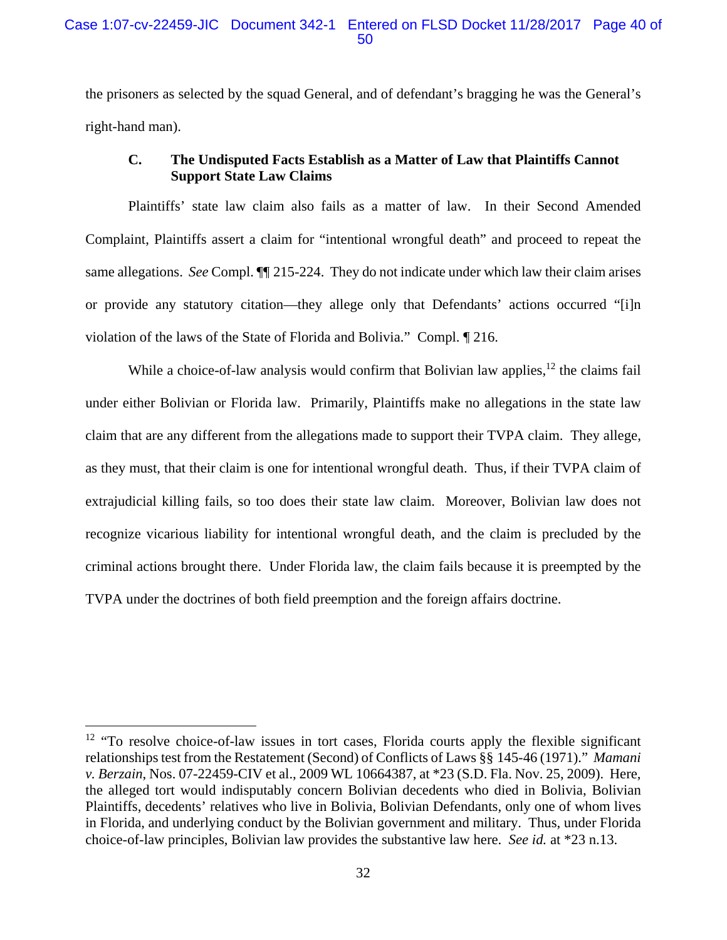the prisoners as selected by the squad General, and of defendant's bragging he was the General's right-hand man).

# **C. The Undisputed Facts Establish as a Matter of Law that Plaintiffs Cannot Support State Law Claims**

Plaintiffs' state law claim also fails as a matter of law. In their Second Amended Complaint, Plaintiffs assert a claim for "intentional wrongful death" and proceed to repeat the same allegations. *See* Compl. ¶¶ 215-224. They do not indicate under which law their claim arises or provide any statutory citation—they allege only that Defendants' actions occurred "[i]n violation of the laws of the State of Florida and Bolivia." Compl. ¶ 216.

While a choice-of-law analysis would confirm that Bolivian law applies,  $12$  the claims fail under either Bolivian or Florida law. Primarily, Plaintiffs make no allegations in the state law claim that are any different from the allegations made to support their TVPA claim. They allege, as they must, that their claim is one for intentional wrongful death. Thus, if their TVPA claim of extrajudicial killing fails, so too does their state law claim. Moreover, Bolivian law does not recognize vicarious liability for intentional wrongful death, and the claim is precluded by the criminal actions brought there. Under Florida law, the claim fails because it is preempted by the TVPA under the doctrines of both field preemption and the foreign affairs doctrine.

 $12$  "To resolve choice-of-law issues in tort cases, Florida courts apply the flexible significant relationships test from the Restatement (Second) of Conflicts of Laws §§ 145-46 (1971)." *Mamani v. Berzain*, Nos. 07-22459-CIV et al., 2009 WL 10664387, at \*23 (S.D. Fla. Nov. 25, 2009). Here, the alleged tort would indisputably concern Bolivian decedents who died in Bolivia, Bolivian Plaintiffs, decedents' relatives who live in Bolivia, Bolivian Defendants, only one of whom lives in Florida, and underlying conduct by the Bolivian government and military. Thus, under Florida choice-of-law principles, Bolivian law provides the substantive law here. *See id.* at \*23 n.13.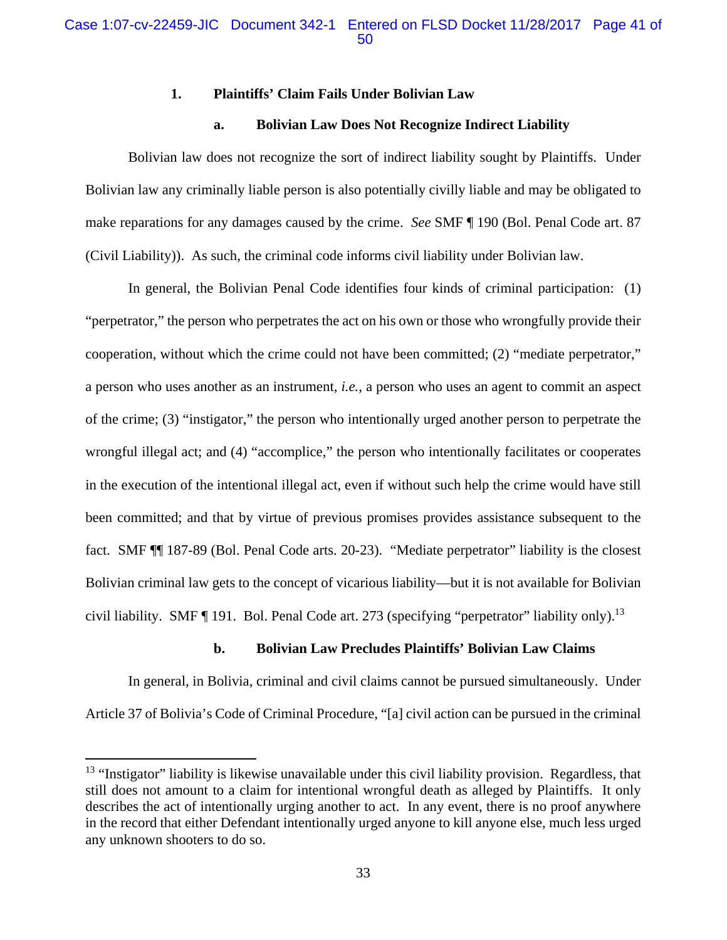### **1. Plaintiffs' Claim Fails Under Bolivian Law**

### **a. Bolivian Law Does Not Recognize Indirect Liability**

Bolivian law does not recognize the sort of indirect liability sought by Plaintiffs. Under Bolivian law any criminally liable person is also potentially civilly liable and may be obligated to make reparations for any damages caused by the crime. *See* SMF ¶ 190 (Bol. Penal Code art. 87 (Civil Liability)). As such, the criminal code informs civil liability under Bolivian law.

In general, the Bolivian Penal Code identifies four kinds of criminal participation: (1) "perpetrator," the person who perpetrates the act on his own or those who wrongfully provide their cooperation, without which the crime could not have been committed; (2) "mediate perpetrator," a person who uses another as an instrument, *i.e.*, a person who uses an agent to commit an aspect of the crime; (3) "instigator," the person who intentionally urged another person to perpetrate the wrongful illegal act; and (4) "accomplice," the person who intentionally facilitates or cooperates in the execution of the intentional illegal act, even if without such help the crime would have still been committed; and that by virtue of previous promises provides assistance subsequent to the fact. SMF ¶¶ 187-89 (Bol. Penal Code arts. 20-23). "Mediate perpetrator" liability is the closest Bolivian criminal law gets to the concept of vicarious liability—but it is not available for Bolivian civil liability. SMF ¶ 191. Bol. Penal Code art. 273 (specifying "perpetrator" liability only).<sup>13</sup>

### **b. Bolivian Law Precludes Plaintiffs' Bolivian Law Claims**

In general, in Bolivia, criminal and civil claims cannot be pursued simultaneously. Under Article 37 of Bolivia's Code of Criminal Procedure, "[a] civil action can be pursued in the criminal

 $13$  "Instigator" liability is likewise unavailable under this civil liability provision. Regardless, that still does not amount to a claim for intentional wrongful death as alleged by Plaintiffs. It only describes the act of intentionally urging another to act. In any event, there is no proof anywhere in the record that either Defendant intentionally urged anyone to kill anyone else, much less urged any unknown shooters to do so.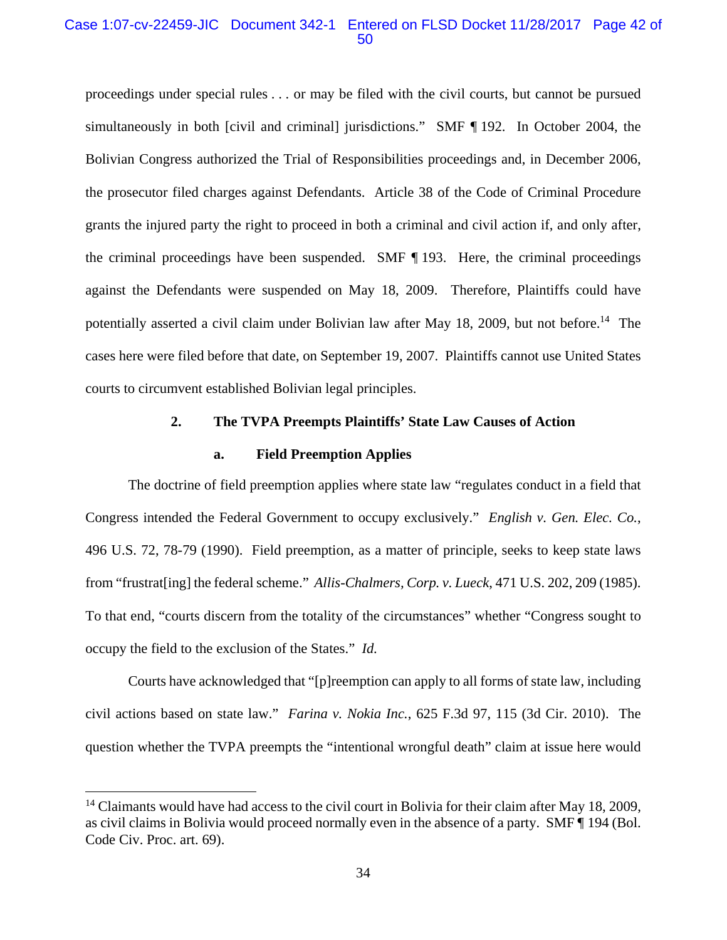### Case 1:07-cv-22459-JIC Document 342-1 Entered on FLSD Docket 11/28/2017 Page 42 of 50

proceedings under special rules . . . or may be filed with the civil courts, but cannot be pursued simultaneously in both [civil and criminal] jurisdictions." SMF ¶ 192. In October 2004, the Bolivian Congress authorized the Trial of Responsibilities proceedings and, in December 2006, the prosecutor filed charges against Defendants. Article 38 of the Code of Criminal Procedure grants the injured party the right to proceed in both a criminal and civil action if, and only after, the criminal proceedings have been suspended. SMF ¶ 193. Here, the criminal proceedings against the Defendants were suspended on May 18, 2009. Therefore, Plaintiffs could have potentially asserted a civil claim under Bolivian law after May 18, 2009, but not before.<sup>14</sup> The cases here were filed before that date, on September 19, 2007. Plaintiffs cannot use United States courts to circumvent established Bolivian legal principles.

### **2. The TVPA Preempts Plaintiffs' State Law Causes of Action**

### **a. Field Preemption Applies**

The doctrine of field preemption applies where state law "regulates conduct in a field that Congress intended the Federal Government to occupy exclusively." *English v. Gen. Elec. Co.*, 496 U.S. 72, 78-79 (1990). Field preemption, as a matter of principle, seeks to keep state laws from "frustrat[ing] the federal scheme." *Allis-Chalmers, Corp. v. Lueck*, 471 U.S. 202, 209 (1985). To that end, "courts discern from the totality of the circumstances" whether "Congress sought to occupy the field to the exclusion of the States." *Id.* 

Courts have acknowledged that "[p]reemption can apply to all forms of state law, including civil actions based on state law." *Farina v. Nokia Inc.*, 625 F.3d 97, 115 (3d Cir. 2010).The question whether the TVPA preempts the "intentional wrongful death" claim at issue here would

 $14$  Claimants would have had access to the civil court in Bolivia for their claim after May 18, 2009, as civil claims in Bolivia would proceed normally even in the absence of a party. SMF ¶ 194 (Bol. Code Civ. Proc. art. 69).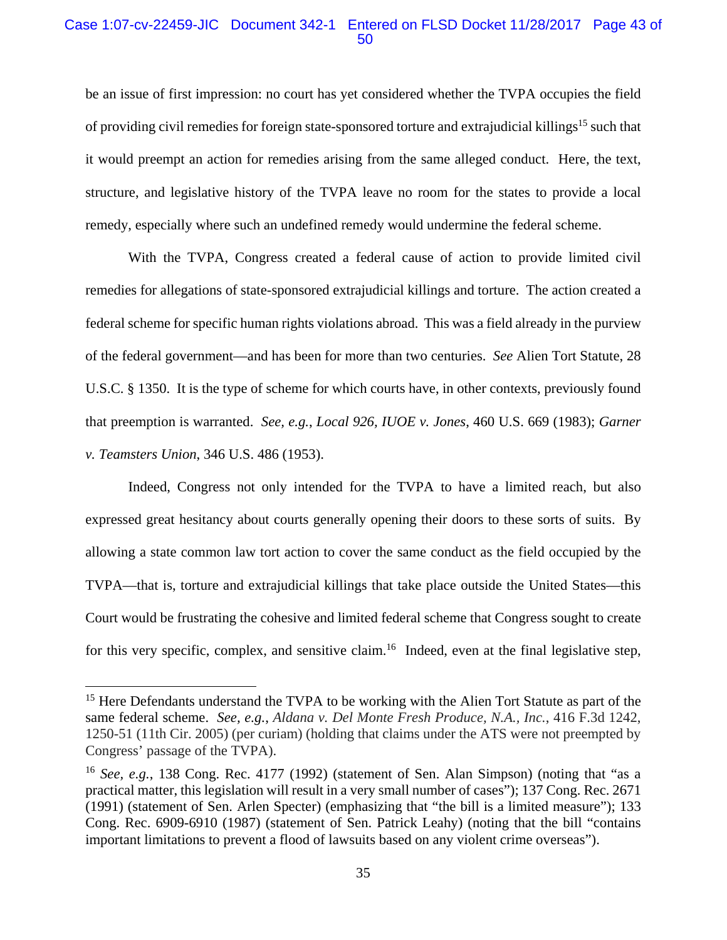### Case 1:07-cv-22459-JIC Document 342-1 Entered on FLSD Docket 11/28/2017 Page 43 of 50

be an issue of first impression: no court has yet considered whether the TVPA occupies the field of providing civil remedies for foreign state-sponsored torture and extrajudicial killings<sup>15</sup> such that it would preempt an action for remedies arising from the same alleged conduct. Here, the text, structure, and legislative history of the TVPA leave no room for the states to provide a local remedy, especially where such an undefined remedy would undermine the federal scheme.

With the TVPA, Congress created a federal cause of action to provide limited civil remedies for allegations of state-sponsored extrajudicial killings and torture. The action created a federal scheme for specific human rights violations abroad. This was a field already in the purview of the federal government—and has been for more than two centuries. *See* Alien Tort Statute, 28 U.S.C. § 1350. It is the type of scheme for which courts have, in other contexts, previously found that preemption is warranted. *See, e.g.*, *Local 926, IUOE v. Jones*, 460 U.S. 669 (1983); *Garner v. Teamsters Union*, 346 U.S. 486 (1953).

Indeed, Congress not only intended for the TVPA to have a limited reach, but also expressed great hesitancy about courts generally opening their doors to these sorts of suits. By allowing a state common law tort action to cover the same conduct as the field occupied by the TVPA—that is, torture and extrajudicial killings that take place outside the United States—this Court would be frustrating the cohesive and limited federal scheme that Congress sought to create for this very specific, complex, and sensitive claim.<sup>16</sup> Indeed, even at the final legislative step,

<sup>&</sup>lt;sup>15</sup> Here Defendants understand the TVPA to be working with the Alien Tort Statute as part of the same federal scheme. *See, e.g.*, *Aldana v. Del Monte Fresh Produce, N.A., Inc.*, 416 F.3d 1242, 1250-51 (11th Cir. 2005) (per curiam) (holding that claims under the ATS were not preempted by Congress' passage of the TVPA).

<sup>16</sup> *See, e.g.*, 138 Cong. Rec. 4177 (1992) (statement of Sen. Alan Simpson) (noting that "as a practical matter, this legislation will result in a very small number of cases"); 137 Cong. Rec. 2671 (1991) (statement of Sen. Arlen Specter) (emphasizing that "the bill is a limited measure"); 133 Cong. Rec. 6909-6910 (1987) (statement of Sen. Patrick Leahy) (noting that the bill "contains important limitations to prevent a flood of lawsuits based on any violent crime overseas").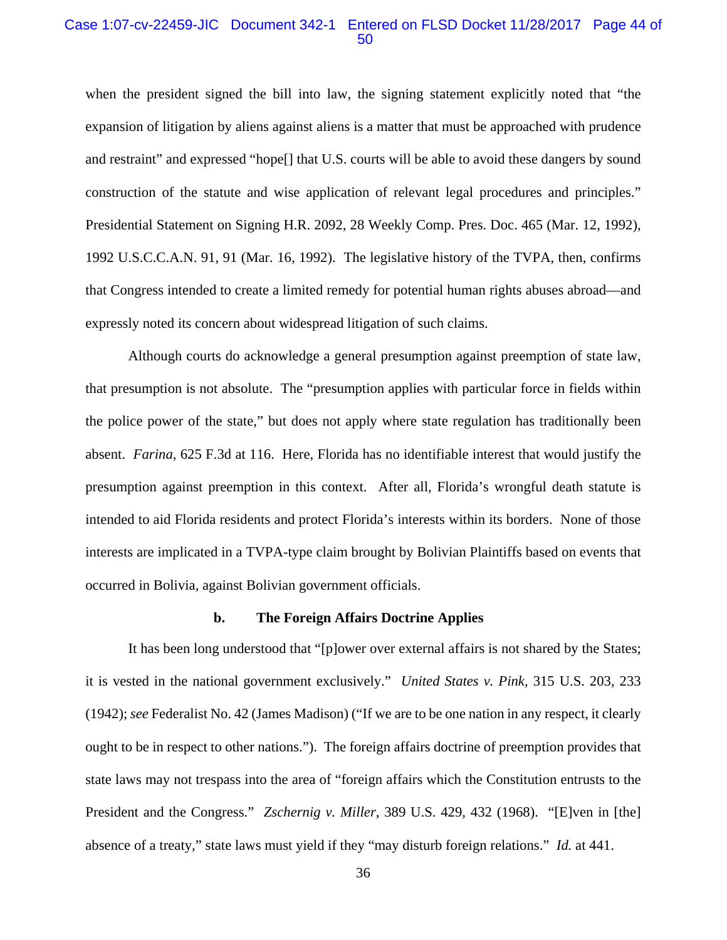#### Case 1:07-cv-22459-JIC Document 342-1 Entered on FLSD Docket 11/28/2017 Page 44 of 50

when the president signed the bill into law, the signing statement explicitly noted that "the expansion of litigation by aliens against aliens is a matter that must be approached with prudence and restraint" and expressed "hope[] that U.S. courts will be able to avoid these dangers by sound construction of the statute and wise application of relevant legal procedures and principles." Presidential Statement on Signing H.R. 2092, 28 Weekly Comp. Pres. Doc. 465 (Mar. 12, 1992), 1992 U.S.C.C.A.N. 91, 91 (Mar. 16, 1992). The legislative history of the TVPA, then, confirms that Congress intended to create a limited remedy for potential human rights abuses abroad—and expressly noted its concern about widespread litigation of such claims.

Although courts do acknowledge a general presumption against preemption of state law, that presumption is not absolute. The "presumption applies with particular force in fields within the police power of the state," but does not apply where state regulation has traditionally been absent. *Farina*, 625 F.3d at 116. Here, Florida has no identifiable interest that would justify the presumption against preemption in this context. After all, Florida's wrongful death statute is intended to aid Florida residents and protect Florida's interests within its borders. None of those interests are implicated in a TVPA-type claim brought by Bolivian Plaintiffs based on events that occurred in Bolivia, against Bolivian government officials.

#### **b. The Foreign Affairs Doctrine Applies**

It has been long understood that "[p]ower over external affairs is not shared by the States; it is vested in the national government exclusively." *United States v. Pink*, 315 U.S. 203, 233 (1942); *see* Federalist No. 42 (James Madison) ("If we are to be one nation in any respect, it clearly ought to be in respect to other nations."). The foreign affairs doctrine of preemption provides that state laws may not trespass into the area of "foreign affairs which the Constitution entrusts to the President and the Congress." *Zschernig v. Miller*, 389 U.S. 429, 432 (1968). "[E]ven in [the] absence of a treaty," state laws must yield if they "may disturb foreign relations." *Id.* at 441.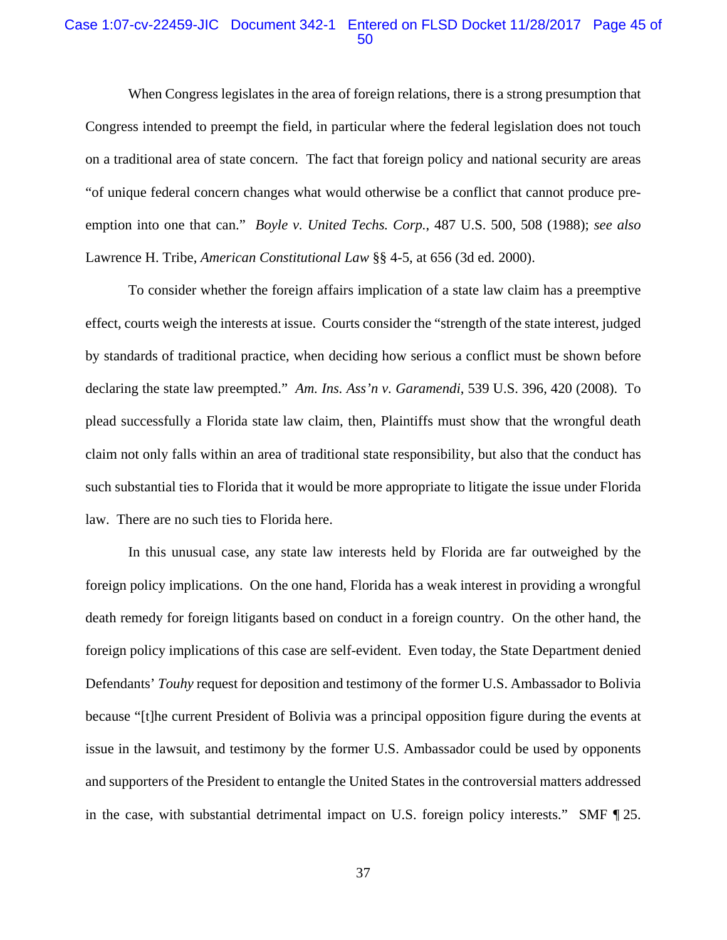### Case 1:07-cv-22459-JIC Document 342-1 Entered on FLSD Docket 11/28/2017 Page 45 of 50

When Congress legislates in the area of foreign relations, there is a strong presumption that Congress intended to preempt the field, in particular where the federal legislation does not touch on a traditional area of state concern. The fact that foreign policy and national security are areas "of unique federal concern changes what would otherwise be a conflict that cannot produce preemption into one that can." *Boyle v. United Techs. Corp.*, 487 U.S. 500, 508 (1988); *see also*  Lawrence H. Tribe, *American Constitutional Law* §§ 4-5, at 656 (3d ed. 2000).

To consider whether the foreign affairs implication of a state law claim has a preemptive effect, courts weigh the interests at issue. Courts consider the "strength of the state interest, judged by standards of traditional practice, when deciding how serious a conflict must be shown before declaring the state law preempted." *Am. Ins. Ass'n v. Garamendi*, 539 U.S. 396, 420 (2008). To plead successfully a Florida state law claim, then, Plaintiffs must show that the wrongful death claim not only falls within an area of traditional state responsibility, but also that the conduct has such substantial ties to Florida that it would be more appropriate to litigate the issue under Florida law. There are no such ties to Florida here.

In this unusual case, any state law interests held by Florida are far outweighed by the foreign policy implications. On the one hand, Florida has a weak interest in providing a wrongful death remedy for foreign litigants based on conduct in a foreign country. On the other hand, the foreign policy implications of this case are self-evident. Even today, the State Department denied Defendants' *Touhy* request for deposition and testimony of the former U.S. Ambassador to Bolivia because "[t]he current President of Bolivia was a principal opposition figure during the events at issue in the lawsuit, and testimony by the former U.S. Ambassador could be used by opponents and supporters of the President to entangle the United States in the controversial matters addressed in the case, with substantial detrimental impact on U.S. foreign policy interests." SMF ¶ 25.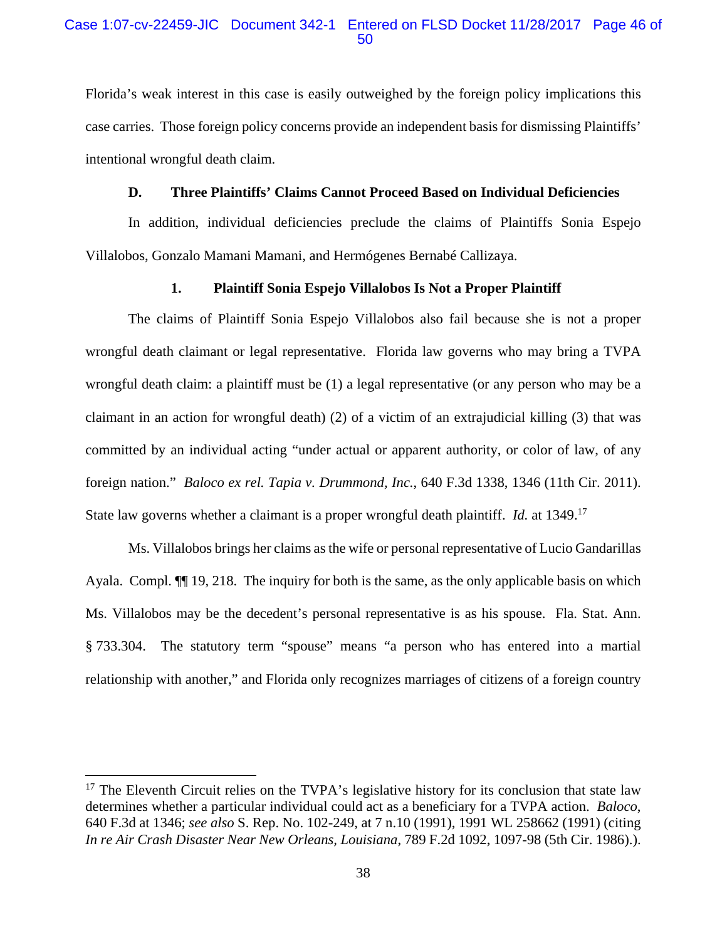### Case 1:07-cv-22459-JIC Document 342-1 Entered on FLSD Docket 11/28/2017 Page 46 of 50

Florida's weak interest in this case is easily outweighed by the foreign policy implications this case carries. Those foreign policy concerns provide an independent basis for dismissing Plaintiffs' intentional wrongful death claim.

### **D. Three Plaintiffs' Claims Cannot Proceed Based on Individual Deficiencies**

In addition, individual deficiencies preclude the claims of Plaintiffs Sonia Espejo Villalobos, Gonzalo Mamani Mamani, and Hermógenes Bernabé Callizaya.

### **1. Plaintiff Sonia Espejo Villalobos Is Not a Proper Plaintiff**

The claims of Plaintiff Sonia Espejo Villalobos also fail because she is not a proper wrongful death claimant or legal representative. Florida law governs who may bring a TVPA wrongful death claim: a plaintiff must be (1) a legal representative (or any person who may be a claimant in an action for wrongful death) (2) of a victim of an extrajudicial killing (3) that was committed by an individual acting "under actual or apparent authority, or color of law, of any foreign nation." *Baloco ex rel. Tapia v. Drummond, Inc.*, 640 F.3d 1338, 1346 (11th Cir. 2011). State law governs whether a claimant is a proper wrongful death plaintiff. *Id.* at 1349.17

Ms. Villalobos brings her claims as the wife or personal representative of Lucio Gandarillas Ayala. Compl. ¶¶ 19, 218. The inquiry for both is the same, as the only applicable basis on which Ms. Villalobos may be the decedent's personal representative is as his spouse. Fla. Stat. Ann. § 733.304. The statutory term "spouse" means "a person who has entered into a martial relationship with another," and Florida only recognizes marriages of citizens of a foreign country

<sup>&</sup>lt;sup>17</sup> The Eleventh Circuit relies on the TVPA's legislative history for its conclusion that state law determines whether a particular individual could act as a beneficiary for a TVPA action. *Baloco*, 640 F.3d at 1346; *see also* S. Rep. No. 102-249, at 7 n.10 (1991), 1991 WL 258662 (1991) (citing *In re Air Crash Disaster Near New Orleans, Louisiana*, 789 F.2d 1092, 1097-98 (5th Cir. 1986).).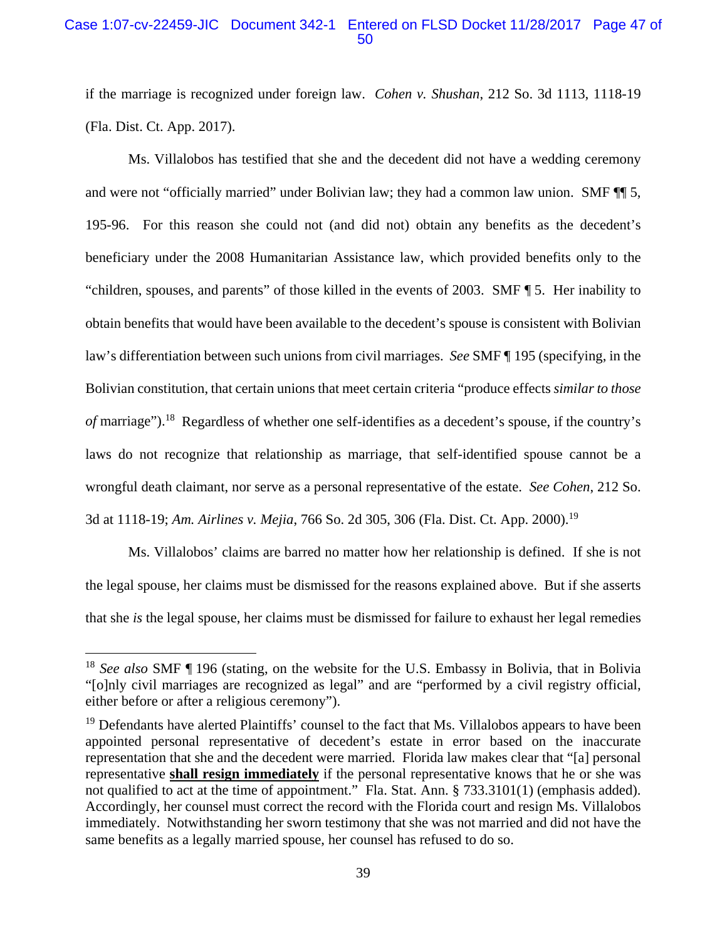### Case 1:07-cv-22459-JIC Document 342-1 Entered on FLSD Docket 11/28/2017 Page 47 of 50

if the marriage is recognized under foreign law. *Cohen v. Shushan*, 212 So. 3d 1113, 1118-19 (Fla. Dist. Ct. App. 2017).

Ms. Villalobos has testified that she and the decedent did not have a wedding ceremony and were not "officially married" under Bolivian law; they had a common law union. SMF ¶¶ 5, 195-96. For this reason she could not (and did not) obtain any benefits as the decedent's beneficiary under the 2008 Humanitarian Assistance law, which provided benefits only to the "children, spouses, and parents" of those killed in the events of 2003. SMF ¶ 5. Her inability to obtain benefits that would have been available to the decedent's spouse is consistent with Bolivian law's differentiation between such unions from civil marriages. *See* SMF ¶ 195 (specifying, in the Bolivian constitution, that certain unions that meet certain criteria "produce effects *similar to those of* marriage").<sup>18</sup> Regardless of whether one self-identifies as a decedent's spouse, if the country's laws do not recognize that relationship as marriage, that self-identified spouse cannot be a wrongful death claimant, nor serve as a personal representative of the estate. *See Cohen*, 212 So. 3d at 1118-19; *Am. Airlines v. Mejia*, 766 So. 2d 305, 306 (Fla. Dist. Ct. App. 2000).19

Ms. Villalobos' claims are barred no matter how her relationship is defined. If she is not the legal spouse, her claims must be dismissed for the reasons explained above. But if she asserts that she *is* the legal spouse, her claims must be dismissed for failure to exhaust her legal remedies

<u>.</u>

<sup>18</sup> *See also* SMF ¶ 196 (stating, on the website for the U.S. Embassy in Bolivia, that in Bolivia "[o]nly civil marriages are recognized as legal" and are "performed by a civil registry official, either before or after a religious ceremony").

<sup>&</sup>lt;sup>19</sup> Defendants have alerted Plaintiffs' counsel to the fact that Ms. Villalobos appears to have been appointed personal representative of decedent's estate in error based on the inaccurate representation that she and the decedent were married. Florida law makes clear that "[a] personal representative **shall resign immediately** if the personal representative knows that he or she was not qualified to act at the time of appointment." Fla. Stat. Ann. § 733.3101(1) (emphasis added). Accordingly, her counsel must correct the record with the Florida court and resign Ms. Villalobos immediately. Notwithstanding her sworn testimony that she was not married and did not have the same benefits as a legally married spouse, her counsel has refused to do so.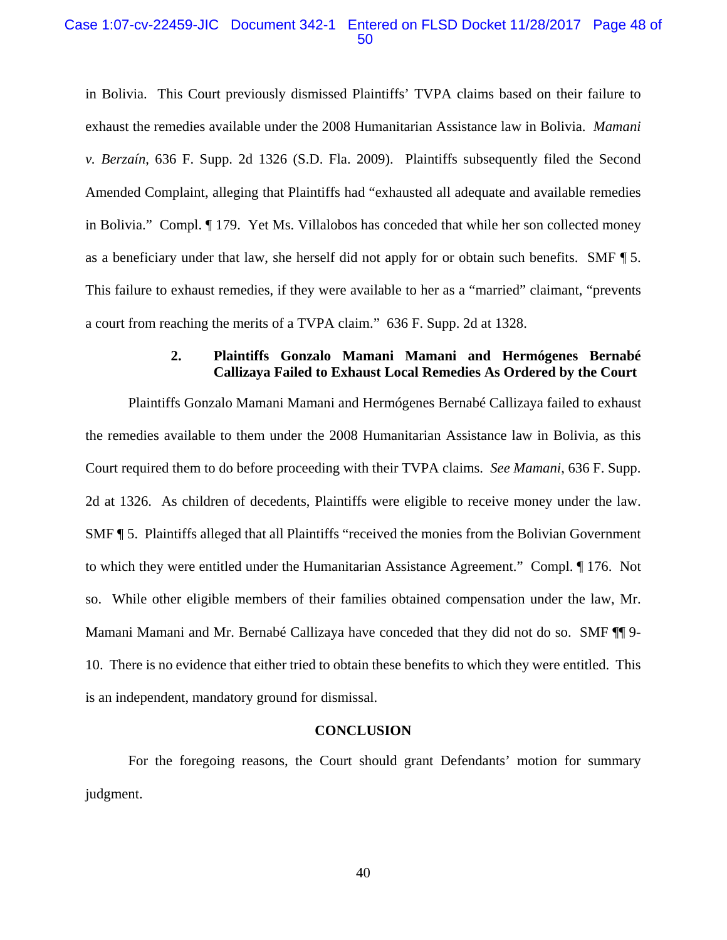#### Case 1:07-cv-22459-JIC Document 342-1 Entered on FLSD Docket 11/28/2017 Page 48 of 50

in Bolivia. This Court previously dismissed Plaintiffs' TVPA claims based on their failure to exhaust the remedies available under the 2008 Humanitarian Assistance law in Bolivia. *Mamani v. Berzaín*, 636 F. Supp. 2d 1326 (S.D. Fla. 2009). Plaintiffs subsequently filed the Second Amended Complaint, alleging that Plaintiffs had "exhausted all adequate and available remedies in Bolivia." Compl. ¶ 179. Yet Ms. Villalobos has conceded that while her son collected money as a beneficiary under that law, she herself did not apply for or obtain such benefits. SMF ¶ 5. This failure to exhaust remedies, if they were available to her as a "married" claimant, "prevents a court from reaching the merits of a TVPA claim." 636 F. Supp. 2d at 1328.

### **2. Plaintiffs Gonzalo Mamani Mamani and Hermógenes Bernabé Callizaya Failed to Exhaust Local Remedies As Ordered by the Court**

Plaintiffs Gonzalo Mamani Mamani and Hermógenes Bernabé Callizaya failed to exhaust the remedies available to them under the 2008 Humanitarian Assistance law in Bolivia, as this Court required them to do before proceeding with their TVPA claims. *See Mamani*, 636 F. Supp. 2d at 1326. As children of decedents, Plaintiffs were eligible to receive money under the law. SMF ¶ 5. Plaintiffs alleged that all Plaintiffs "received the monies from the Bolivian Government to which they were entitled under the Humanitarian Assistance Agreement." Compl. ¶ 176. Not so. While other eligible members of their families obtained compensation under the law, Mr. Mamani Mamani and Mr. Bernabé Callizaya have conceded that they did not do so. SMF ¶¶ 9- 10. There is no evidence that either tried to obtain these benefits to which they were entitled. This is an independent, mandatory ground for dismissal.

#### **CONCLUSION**

For the foregoing reasons, the Court should grant Defendants' motion for summary judgment.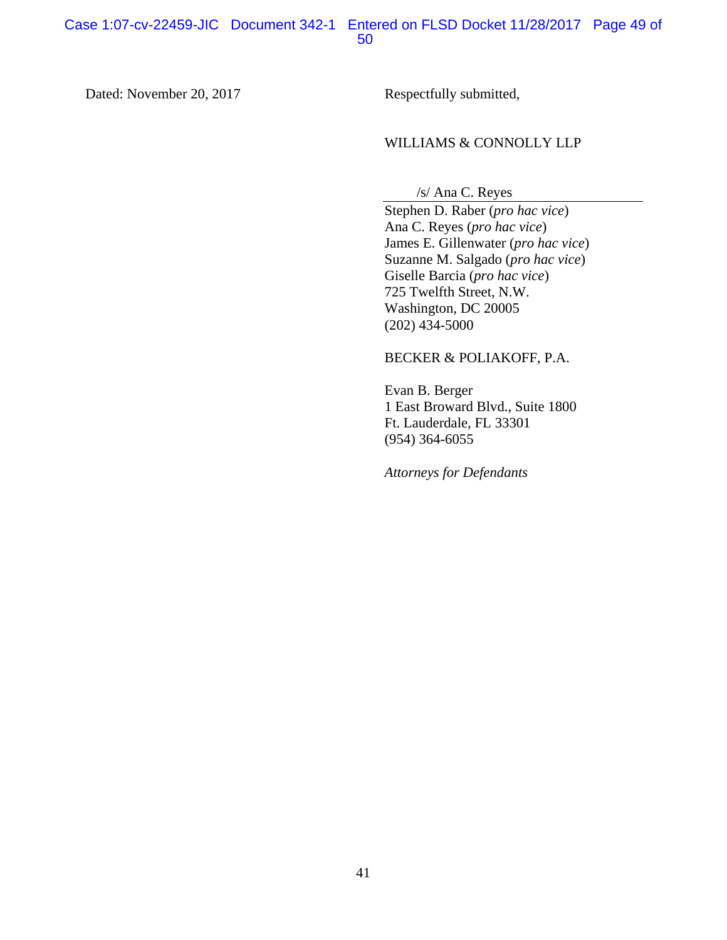### Dated: November 20, 2017 Respectfully submitted,

### WILLIAMS & CONNOLLY LLP

/s/ Ana C. Reyes

Stephen D. Raber (*pro hac vice*) Ana C. Reyes (*pro hac vice*) James E. Gillenwater (*pro hac vice*) Suzanne M. Salgado (*pro hac vice*) Giselle Barcia (*pro hac vice*) 725 Twelfth Street, N.W. Washington, DC 20005 (202) 434-5000

### BECKER & POLIAKOFF, P.A.

Evan B. Berger 1 East Broward Blvd., Suite 1800 Ft. Lauderdale, FL 33301 (954) 364-6055

*Attorneys for Defendants*